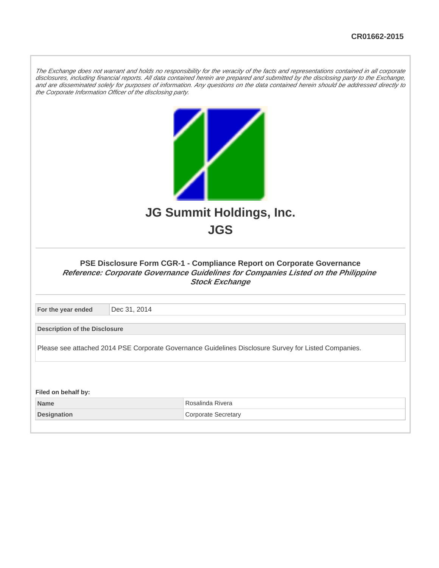The Exchange does not warrant and holds no responsibility for the veracity of the facts and representations contained in all corporate disclosures, including financial reports. All data contained herein are prepared and submitted by the disclosing party to the Exchange, and are disseminated solely for purposes of information. Any questions on the data contained herein should be addressed directly to the Corporate Information Officer of the disclosing party.

| JG Summit Holdings, Inc.<br><b>JGS</b><br>PSE Disclosure Form CGR-1 - Compliance Report on Corporate Governance<br>Reference: Corporate Governance Guidelines for Companies Listed on the Philippine |              |                                                                                                      |  |  |
|------------------------------------------------------------------------------------------------------------------------------------------------------------------------------------------------------|--------------|------------------------------------------------------------------------------------------------------|--|--|
|                                                                                                                                                                                                      |              | <b>Stock Exchange</b>                                                                                |  |  |
| For the year ended                                                                                                                                                                                   | Dec 31, 2014 |                                                                                                      |  |  |
| <b>Description of the Disclosure</b>                                                                                                                                                                 |              |                                                                                                      |  |  |
|                                                                                                                                                                                                      |              | Please see attached 2014 PSE Corporate Governance Guidelines Disclosure Survey for Listed Companies. |  |  |
| Filed on behalf by:                                                                                                                                                                                  |              |                                                                                                      |  |  |
| <b>Name</b>                                                                                                                                                                                          |              | Rosalinda Rivera                                                                                     |  |  |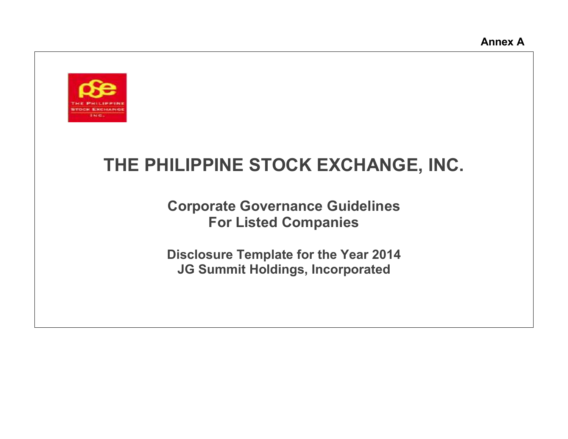

# **THE PHILIPPINE STOCK EXCHANGE, INC.**

**Corporate Governance Guidelines For Listed Companies**

**Disclosure Template for the Year 2014 JG Summit Holdings, Incorporated**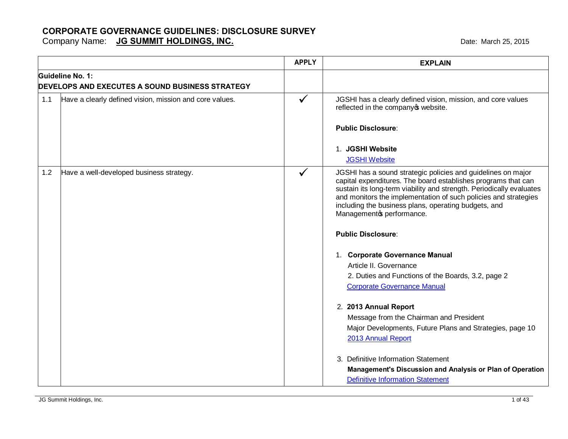Company Name: **JG SUMMIT HOLDINGS, INC. COMPANY COMPANY AND THE MARK COMPANY COMPANY CONTROLLY AND A LOST 2015** 

|     |                                                         | <b>APPLY</b> | <b>EXPLAIN</b>                                                                                                                                                                                                                                                                                                                                               |
|-----|---------------------------------------------------------|--------------|--------------------------------------------------------------------------------------------------------------------------------------------------------------------------------------------------------------------------------------------------------------------------------------------------------------------------------------------------------------|
|     | Guideline No. 1:                                        |              |                                                                                                                                                                                                                                                                                                                                                              |
|     | <b>DEVELOPS AND EXECUTES A SOUND BUSINESS STRATEGY</b>  |              |                                                                                                                                                                                                                                                                                                                                                              |
| 1.1 | Have a clearly defined vision, mission and core values. | $\checkmark$ | JGSHI has a clearly defined vision, mission, and core values<br>reflected in the company of website.                                                                                                                                                                                                                                                         |
|     |                                                         |              | <b>Public Disclosure:</b>                                                                                                                                                                                                                                                                                                                                    |
|     |                                                         |              | 1. JGSHI Website                                                                                                                                                                                                                                                                                                                                             |
|     |                                                         |              | <b>JGSHI Website</b>                                                                                                                                                                                                                                                                                                                                         |
| 1.2 | Have a well-developed business strategy.                | $\checkmark$ | JGSHI has a sound strategic policies and guidelines on major<br>capital expenditures. The board establishes programs that can<br>sustain its long-term viability and strength. Periodically evaluates<br>and monitors the implementation of such policies and strategies<br>including the business plans, operating budgets, and<br>Managemento performance. |
|     |                                                         |              | <b>Public Disclosure:</b>                                                                                                                                                                                                                                                                                                                                    |
|     |                                                         |              | 1. Corporate Governance Manual<br>Article II. Governance<br>2. Duties and Functions of the Boards, 3.2, page 2<br><b>Corporate Governance Manual</b>                                                                                                                                                                                                         |
|     |                                                         |              | 2. 2013 Annual Report<br>Message from the Chairman and President<br>Major Developments, Future Plans and Strategies, page 10<br>2013 Annual Report                                                                                                                                                                                                           |
|     |                                                         |              | 3. Definitive Information Statement<br>Management's Discussion and Analysis or Plan of Operation<br><b>Definitive Information Statement</b>                                                                                                                                                                                                                  |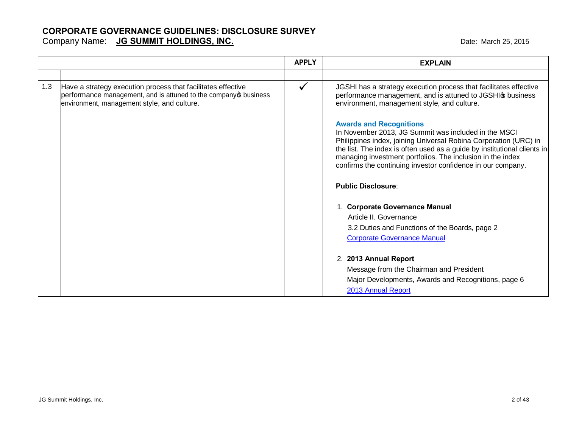#### **CORPORATE GOVERNANCE GUIDELINES: DISCLOSURE SURVEY** Company Name: **JG SUMMIT HOLDINGS, INC. COMPANY AND A COMPANY COMPANY COMPANY CONTROLLY AND A CONTROLLY CONTROLLY CONTROLLY CONTROLLY A CONTROLLY CONTROLLY A CONTROLLY CONTROLLY A CONTROLLY CONTROLLY CONTROLLY CONTROLLY**

|     |                                                                                                                                                                                  | <b>APPLY</b> | <b>EXPLAIN</b>                                                                                                                                                                                                                                                                                                                                                      |
|-----|----------------------------------------------------------------------------------------------------------------------------------------------------------------------------------|--------------|---------------------------------------------------------------------------------------------------------------------------------------------------------------------------------------------------------------------------------------------------------------------------------------------------------------------------------------------------------------------|
|     |                                                                                                                                                                                  |              |                                                                                                                                                                                                                                                                                                                                                                     |
| 1.3 | Have a strategy execution process that facilitates effective<br>performance management, and is attuned to the company op business<br>environment, management style, and culture. |              | JGSHI has a strategy execution process that facilitates effective<br>performance management, and is attuned to JGSHIG business<br>environment, management style, and culture.                                                                                                                                                                                       |
|     |                                                                                                                                                                                  |              | <b>Awards and Recognitions</b><br>In November 2013, JG Summit was included in the MSCI<br>Philippines index, joining Universal Robina Corporation (URC) in<br>the list. The index is often used as a guide by institutional clients in<br>managing investment portfolios. The inclusion in the index<br>confirms the continuing investor confidence in our company. |
|     |                                                                                                                                                                                  |              | <b>Public Disclosure:</b>                                                                                                                                                                                                                                                                                                                                           |
|     |                                                                                                                                                                                  |              | 1. Corporate Governance Manual<br>Article II. Governance<br>3.2 Duties and Functions of the Boards, page 2<br><b>Corporate Governance Manual</b>                                                                                                                                                                                                                    |
|     |                                                                                                                                                                                  |              | 2. 2013 Annual Report<br>Message from the Chairman and President<br>Major Developments, Awards and Recognitions, page 6<br>2013 Annual Report                                                                                                                                                                                                                       |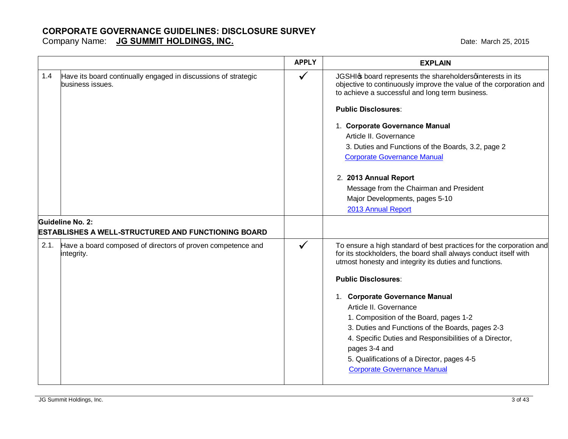|      |                                                                                    | <b>APPLY</b> | <b>EXPLAIN</b>                                                                                                                                                                                    |
|------|------------------------------------------------------------------------------------|--------------|---------------------------------------------------------------------------------------------------------------------------------------------------------------------------------------------------|
| 1.4  | Have its board continually engaged in discussions of strategic<br>business issues. | $\checkmark$ | JGSHIG board represents the shareholdersqinterests in its<br>objective to continuously improve the value of the corporation and<br>to achieve a successful and long term business.                |
|      |                                                                                    |              | <b>Public Disclosures:</b>                                                                                                                                                                        |
|      |                                                                                    |              | 1. Corporate Governance Manual<br>Article II. Governance                                                                                                                                          |
|      |                                                                                    |              | 3. Duties and Functions of the Boards, 3.2, page 2                                                                                                                                                |
|      |                                                                                    |              | <b>Corporate Governance Manual</b>                                                                                                                                                                |
|      |                                                                                    |              | 2. 2013 Annual Report                                                                                                                                                                             |
|      |                                                                                    |              | Message from the Chairman and President                                                                                                                                                           |
|      |                                                                                    |              | Major Developments, pages 5-10                                                                                                                                                                    |
|      |                                                                                    |              | 2013 Annual Report                                                                                                                                                                                |
|      | Guideline No. 2:                                                                   |              |                                                                                                                                                                                                   |
|      | <b>ESTABLISHES A WELL-STRUCTURED AND FUNCTIONING BOARD</b>                         |              |                                                                                                                                                                                                   |
| 2.1. | Have a board composed of directors of proven competence and<br>integrity.          | $\checkmark$ | To ensure a high standard of best practices for the corporation and<br>for its stockholders, the board shall always conduct itself with<br>utmost honesty and integrity its duties and functions. |
|      |                                                                                    |              | <b>Public Disclosures:</b>                                                                                                                                                                        |
|      |                                                                                    |              | 1. Corporate Governance Manual                                                                                                                                                                    |
|      |                                                                                    |              | Article II. Governance                                                                                                                                                                            |
|      |                                                                                    |              | 1. Composition of the Board, pages 1-2                                                                                                                                                            |
|      |                                                                                    |              | 3. Duties and Functions of the Boards, pages 2-3                                                                                                                                                  |
|      |                                                                                    |              | 4. Specific Duties and Responsibilities of a Director,                                                                                                                                            |
|      |                                                                                    |              | pages 3-4 and                                                                                                                                                                                     |
|      |                                                                                    |              | 5. Qualifications of a Director, pages 4-5<br><b>Corporate Governance Manual</b>                                                                                                                  |
|      |                                                                                    |              |                                                                                                                                                                                                   |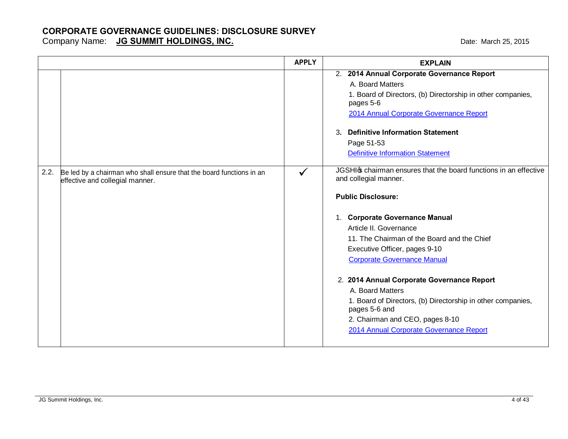|      |                                                                                                         | <b>APPLY</b> | <b>EXPLAIN</b>                                                                           |
|------|---------------------------------------------------------------------------------------------------------|--------------|------------------------------------------------------------------------------------------|
|      |                                                                                                         |              | 2. 2014 Annual Corporate Governance Report                                               |
|      |                                                                                                         |              | A. Board Matters                                                                         |
|      |                                                                                                         |              | 1. Board of Directors, (b) Directorship in other companies,<br>pages 5-6                 |
|      |                                                                                                         |              | 2014 Annual Corporate Governance Report                                                  |
|      |                                                                                                         |              | <b>Definitive Information Statement</b><br>3.                                            |
|      |                                                                                                         |              | Page 51-53                                                                               |
|      |                                                                                                         |              | <b>Definitive Information Statement</b>                                                  |
| 2.2. | Be led by a chairman who shall ensure that the board functions in an<br>effective and collegial manner. | $\checkmark$ | JGSHI chairman ensures that the board functions in an effective<br>and collegial manner. |
|      |                                                                                                         |              | <b>Public Disclosure:</b>                                                                |
|      |                                                                                                         |              | 1. Corporate Governance Manual                                                           |
|      |                                                                                                         |              | Article II. Governance                                                                   |
|      |                                                                                                         |              | 11. The Chairman of the Board and the Chief                                              |
|      |                                                                                                         |              | Executive Officer, pages 9-10                                                            |
|      |                                                                                                         |              | <b>Corporate Governance Manual</b>                                                       |
|      |                                                                                                         |              | 2. 2014 Annual Corporate Governance Report                                               |
|      |                                                                                                         |              | A. Board Matters                                                                         |
|      |                                                                                                         |              | 1. Board of Directors, (b) Directorship in other companies,<br>pages 5-6 and             |
|      |                                                                                                         |              | 2. Chairman and CEO, pages 8-10                                                          |
|      |                                                                                                         |              | 2014 Annual Corporate Governance Report                                                  |
|      |                                                                                                         |              |                                                                                          |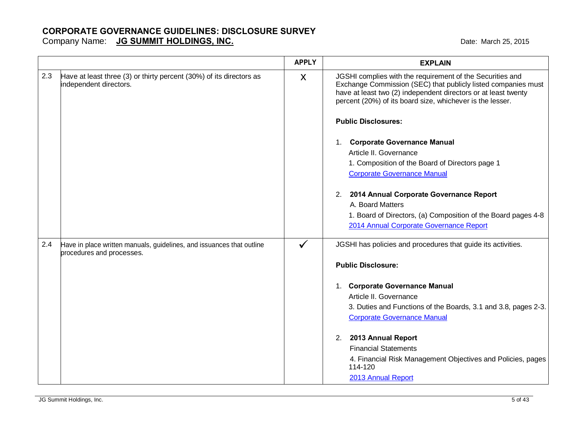|     |                                                                                                    | <b>APPLY</b> | <b>EXPLAIN</b>                                                                                                                                                                                                                                                                                        |
|-----|----------------------------------------------------------------------------------------------------|--------------|-------------------------------------------------------------------------------------------------------------------------------------------------------------------------------------------------------------------------------------------------------------------------------------------------------|
| 2.3 | Have at least three (3) or thirty percent (30%) of its directors as<br>independent directors.      | X            | JGSHI complies with the requirement of the Securities and<br>Exchange Commission (SEC) that publicly listed companies must<br>have at least two (2) independent directors or at least twenty<br>percent (20%) of its board size, whichever is the lesser.                                             |
|     |                                                                                                    |              | <b>Public Disclosures:</b>                                                                                                                                                                                                                                                                            |
|     |                                                                                                    |              | 1. Corporate Governance Manual<br>Article II. Governance<br>1. Composition of the Board of Directors page 1<br><b>Corporate Governance Manual</b>                                                                                                                                                     |
|     |                                                                                                    |              | 2. 2014 Annual Corporate Governance Report<br>A. Board Matters<br>1. Board of Directors, (a) Composition of the Board pages 4-8<br>2014 Annual Corporate Governance Report                                                                                                                            |
| 2.4 | Have in place written manuals, guidelines, and issuances that outline<br>procedures and processes. | $\checkmark$ | JGSHI has policies and procedures that guide its activities.                                                                                                                                                                                                                                          |
|     |                                                                                                    |              | <b>Public Disclosure:</b>                                                                                                                                                                                                                                                                             |
|     |                                                                                                    |              | 1. Corporate Governance Manual<br>Article II. Governance<br>3. Duties and Functions of the Boards, 3.1 and 3.8, pages 2-3.<br><b>Corporate Governance Manual</b><br>2013 Annual Report<br>2.<br><b>Financial Statements</b><br>4. Financial Risk Management Objectives and Policies, pages<br>114-120 |
|     |                                                                                                    |              | 2013 Annual Report                                                                                                                                                                                                                                                                                    |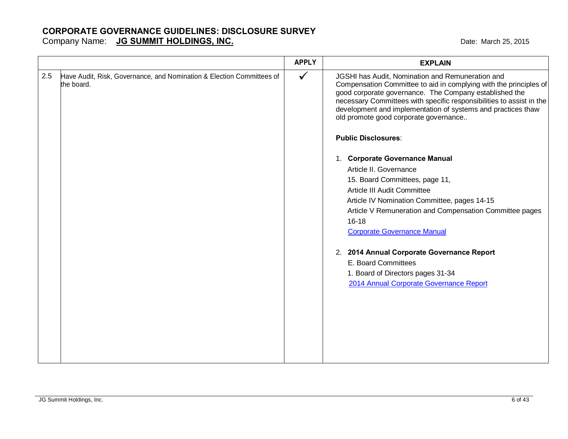|     |                                                                                     | <b>APPLY</b> | <b>EXPLAIN</b>                                                                                                                                                                                                                                                                                                                                                                                                                                                                                                                                                                                                                                                                                                                                                                                                                                 |
|-----|-------------------------------------------------------------------------------------|--------------|------------------------------------------------------------------------------------------------------------------------------------------------------------------------------------------------------------------------------------------------------------------------------------------------------------------------------------------------------------------------------------------------------------------------------------------------------------------------------------------------------------------------------------------------------------------------------------------------------------------------------------------------------------------------------------------------------------------------------------------------------------------------------------------------------------------------------------------------|
| 2.5 | Have Audit, Risk, Governance, and Nomination & Election Committees of<br>the board. | $\checkmark$ | JGSHI has Audit, Nomination and Remuneration and<br>Compensation Committee to aid in complying with the principles of<br>good corporate governance. The Company established the<br>necessary Committees with specific responsibilities to assist in the<br>development and implementation of systems and practices thaw<br>old promote good corporate governance<br><b>Public Disclosures:</b><br>1. Corporate Governance Manual<br>Article II. Governance<br>15. Board Committees, page 11,<br>Article III Audit Committee<br>Article IV Nomination Committee, pages 14-15<br>Article V Remuneration and Compensation Committee pages<br>$16 - 18$<br><b>Corporate Governance Manual</b><br>2. 2014 Annual Corporate Governance Report<br>E. Board Committees<br>1. Board of Directors pages 31-34<br>2014 Annual Corporate Governance Report |
|     |                                                                                     |              |                                                                                                                                                                                                                                                                                                                                                                                                                                                                                                                                                                                                                                                                                                                                                                                                                                                |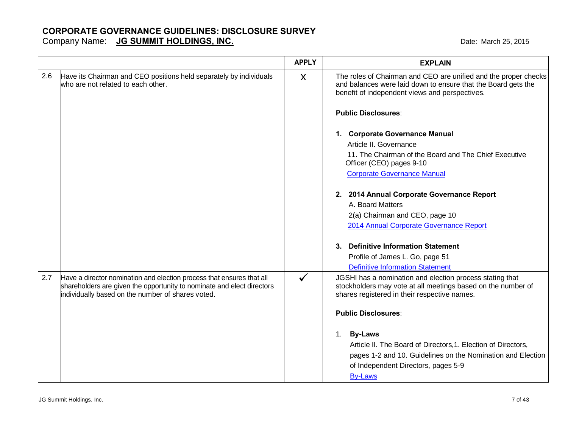Date: March 25, 2015

| Company Name: | <b>JG SUMMIT HOLDINGS, INC.</b> |
|---------------|---------------------------------|
|---------------|---------------------------------|

|     |                                                                                                                                                                                                      | <b>APPLY</b> | <b>EXPLAIN</b>                                                                                                                                                                                      |
|-----|------------------------------------------------------------------------------------------------------------------------------------------------------------------------------------------------------|--------------|-----------------------------------------------------------------------------------------------------------------------------------------------------------------------------------------------------|
| 2.6 | Have its Chairman and CEO positions held separately by individuals<br>who are not related to each other.                                                                                             | X            | The roles of Chairman and CEO are unified and the proper checks<br>and balances were laid down to ensure that the Board gets the<br>benefit of independent views and perspectives.                  |
|     |                                                                                                                                                                                                      |              | <b>Public Disclosures:</b>                                                                                                                                                                          |
|     |                                                                                                                                                                                                      |              | 1. Corporate Governance Manual<br>Article II. Governance                                                                                                                                            |
|     |                                                                                                                                                                                                      |              | 11. The Chairman of the Board and The Chief Executive<br>Officer (CEO) pages 9-10                                                                                                                   |
|     |                                                                                                                                                                                                      |              | <b>Corporate Governance Manual</b>                                                                                                                                                                  |
|     |                                                                                                                                                                                                      |              | 2. 2014 Annual Corporate Governance Report<br>A. Board Matters                                                                                                                                      |
|     |                                                                                                                                                                                                      |              | 2(a) Chairman and CEO, page 10<br>2014 Annual Corporate Governance Report                                                                                                                           |
|     |                                                                                                                                                                                                      |              | 3. Definitive Information Statement                                                                                                                                                                 |
|     |                                                                                                                                                                                                      |              | Profile of James L. Go, page 51                                                                                                                                                                     |
|     |                                                                                                                                                                                                      |              | <b>Definitive Information Statement</b>                                                                                                                                                             |
| 2.7 | Have a director nomination and election process that ensures that all<br>shareholders are given the opportunity to nominate and elect directors<br>individually based on the number of shares voted. | $\checkmark$ | JGSHI has a nomination and election process stating that<br>stockholders may vote at all meetings based on the number of<br>shares registered in their respective names.                            |
|     |                                                                                                                                                                                                      |              | <b>Public Disclosures:</b>                                                                                                                                                                          |
|     |                                                                                                                                                                                                      |              | 1. By-Laws<br>Article II. The Board of Directors, 1. Election of Directors,<br>pages 1-2 and 10. Guidelines on the Nomination and Election<br>of Independent Directors, pages 5-9<br><b>By-Laws</b> |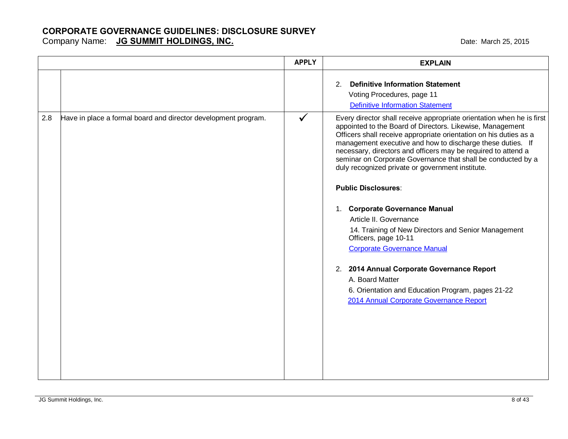|     |                                                                | <b>APPLY</b> | <b>EXPLAIN</b>                                                                                                                                                                                                                                                                                                                                                                                                                                                                                                                                                                                                                                                                                                                                                                                                                             |
|-----|----------------------------------------------------------------|--------------|--------------------------------------------------------------------------------------------------------------------------------------------------------------------------------------------------------------------------------------------------------------------------------------------------------------------------------------------------------------------------------------------------------------------------------------------------------------------------------------------------------------------------------------------------------------------------------------------------------------------------------------------------------------------------------------------------------------------------------------------------------------------------------------------------------------------------------------------|
|     |                                                                |              | <b>Definitive Information Statement</b><br>2 <sub>1</sub><br>Voting Procedures, page 11<br><b>Definitive Information Statement</b>                                                                                                                                                                                                                                                                                                                                                                                                                                                                                                                                                                                                                                                                                                         |
| 2.8 | Have in place a formal board and director development program. | $\checkmark$ | Every director shall receive appropriate orientation when he is first<br>appointed to the Board of Directors. Likewise, Management<br>Officers shall receive appropriate orientation on his duties as a<br>management executive and how to discharge these duties. If<br>necessary, directors and officers may be required to attend a<br>seminar on Corporate Governance that shall be conducted by a<br>duly recognized private or government institute.<br><b>Public Disclosures:</b><br>1. Corporate Governance Manual<br>Article II. Governance<br>14. Training of New Directors and Senior Management<br>Officers, page 10-11<br><b>Corporate Governance Manual</b><br>2. 2014 Annual Corporate Governance Report<br>A. Board Matter<br>6. Orientation and Education Program, pages 21-22<br>2014 Annual Corporate Governance Report |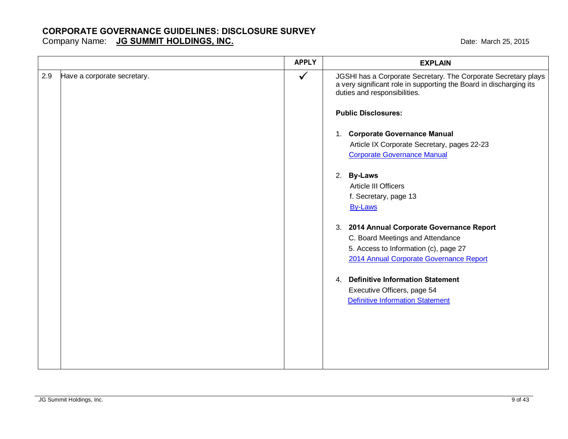Company Name: **JG SUMMIT HOLDINGS, INC. COMPANY COMPANY AND THE MARK COMPANY COMPANY CONTROLLY AND A LOST 2015** 

|     |                             | <b>APPLY</b> | <b>EXPLAIN</b>                                                                                                                                                       |
|-----|-----------------------------|--------------|----------------------------------------------------------------------------------------------------------------------------------------------------------------------|
| 2.9 | Have a corporate secretary. | $\checkmark$ | JGSHI has a Corporate Secretary. The Corporate Secretary plays<br>a very significant role in supporting the Board in discharging its<br>duties and responsibilities. |
|     |                             |              | <b>Public Disclosures:</b>                                                                                                                                           |
|     |                             |              | 1. Corporate Governance Manual                                                                                                                                       |
|     |                             |              | Article IX Corporate Secretary, pages 22-23                                                                                                                          |
|     |                             |              | <b>Corporate Governance Manual</b>                                                                                                                                   |
|     |                             |              | 2. By-Laws                                                                                                                                                           |
|     |                             |              | Article III Officers                                                                                                                                                 |
|     |                             |              | f. Secretary, page 13                                                                                                                                                |
|     |                             |              | <b>By-Laws</b>                                                                                                                                                       |
|     |                             |              | 3. 2014 Annual Corporate Governance Report                                                                                                                           |
|     |                             |              | C. Board Meetings and Attendance                                                                                                                                     |
|     |                             |              | 5. Access to Information (c), page 27                                                                                                                                |
|     |                             |              | 2014 Annual Corporate Governance Report                                                                                                                              |
|     |                             |              | 4. Definitive Information Statement                                                                                                                                  |
|     |                             |              | Executive Officers, page 54                                                                                                                                          |
|     |                             |              | <b>Definitive Information Statement</b>                                                                                                                              |
|     |                             |              |                                                                                                                                                                      |
|     |                             |              |                                                                                                                                                                      |
|     |                             |              |                                                                                                                                                                      |
|     |                             |              |                                                                                                                                                                      |
|     |                             |              |                                                                                                                                                                      |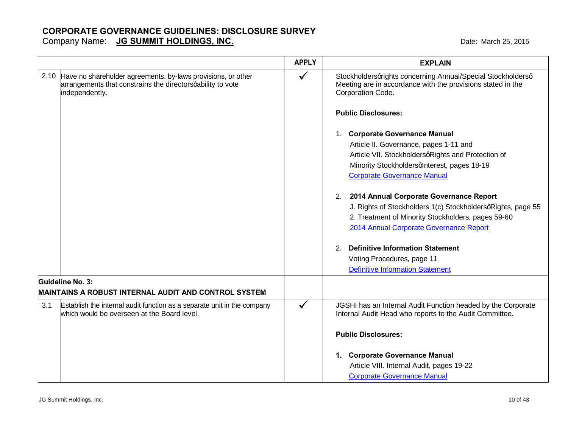|                                                                                                                                                    | <b>APPLY</b> | <b>EXPLAIN</b>                                                                                                                                  |
|----------------------------------------------------------------------------------------------------------------------------------------------------|--------------|-------------------------------------------------------------------------------------------------------------------------------------------------|
| 2.10 Have no shareholder agreements, by-laws provisions, or other<br>arrangements that constrains the directors qability to vote<br>independently. | $\checkmark$ | Stockholdersqrights concerning Annual/Special Stockholdersq<br>Meeting are in accordance with the provisions stated in the<br>Corporation Code. |
|                                                                                                                                                    |              | <b>Public Disclosures:</b>                                                                                                                      |
|                                                                                                                                                    |              | 1. Corporate Governance Manual                                                                                                                  |
|                                                                                                                                                    |              | Article II. Governance, pages 1-11 and                                                                                                          |
|                                                                                                                                                    |              | Article VII. StockholdersqRights and Protection of                                                                                              |
|                                                                                                                                                    |              | Minority StockholdersqInterest, pages 18-19                                                                                                     |
|                                                                                                                                                    |              | <b>Corporate Governance Manual</b>                                                                                                              |
|                                                                                                                                                    |              | 2014 Annual Corporate Governance Report<br>2.                                                                                                   |
|                                                                                                                                                    |              | J. Rights of Stockholders 1(c) StockholdersqRights, page 55                                                                                     |
|                                                                                                                                                    |              | 2. Treatment of Minority Stockholders, pages 59-60                                                                                              |
|                                                                                                                                                    |              | 2014 Annual Corporate Governance Report                                                                                                         |
|                                                                                                                                                    |              | 2. Definitive Information Statement                                                                                                             |
|                                                                                                                                                    |              | Voting Procedures, page 11                                                                                                                      |
|                                                                                                                                                    |              | <b>Definitive Information Statement</b>                                                                                                         |
| Guideline No. 3:                                                                                                                                   |              |                                                                                                                                                 |
| MAINTAINS A ROBUST INTERNAL AUDIT AND CONTROL SYSTEM                                                                                               |              |                                                                                                                                                 |
| 3.1<br>Establish the internal audit function as a separate unit in the company<br>which would be overseen at the Board level.                      | $\checkmark$ | JGSHI has an Internal Audit Function headed by the Corporate<br>Internal Audit Head who reports to the Audit Committee.                         |
|                                                                                                                                                    |              | <b>Public Disclosures:</b>                                                                                                                      |
|                                                                                                                                                    |              | 1. Corporate Governance Manual                                                                                                                  |
|                                                                                                                                                    |              | Article VIII. Internal Audit, pages 19-22                                                                                                       |
|                                                                                                                                                    |              | <b>Corporate Governance Manual</b>                                                                                                              |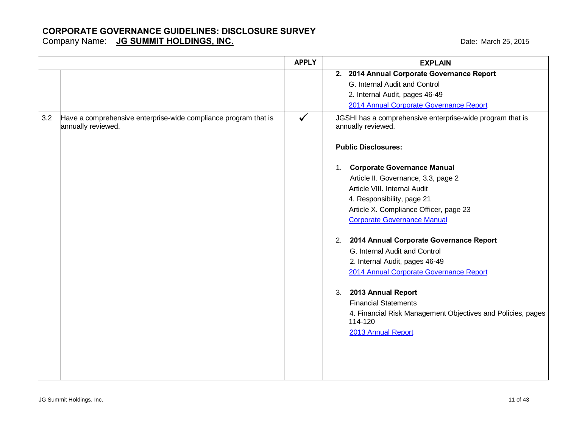Company Name: **JG SUMMIT HOLDINGS, INC. COMPANY COMPANY AND THE MARK COMPANY COMPANY CONTROLLY AND A LOST 2015** 

|     |                                                                                       | <b>APPLY</b> | <b>EXPLAIN</b>                                                                  |
|-----|---------------------------------------------------------------------------------------|--------------|---------------------------------------------------------------------------------|
|     |                                                                                       |              | 2. 2014 Annual Corporate Governance Report                                      |
|     |                                                                                       |              | G. Internal Audit and Control                                                   |
|     |                                                                                       |              | 2. Internal Audit, pages 46-49                                                  |
|     |                                                                                       |              | 2014 Annual Corporate Governance Report                                         |
| 3.2 | Have a comprehensive enterprise-wide compliance program that is<br>annually reviewed. | $\checkmark$ | JGSHI has a comprehensive enterprise-wide program that is<br>annually reviewed. |
|     |                                                                                       |              | <b>Public Disclosures:</b>                                                      |
|     |                                                                                       |              | <b>Corporate Governance Manual</b><br>1.                                        |
|     |                                                                                       |              | Article II. Governance, 3.3, page 2                                             |
|     |                                                                                       |              | Article VIII. Internal Audit                                                    |
|     |                                                                                       |              | 4. Responsibility, page 21                                                      |
|     |                                                                                       |              | Article X. Compliance Officer, page 23                                          |
|     |                                                                                       |              | <b>Corporate Governance Manual</b>                                              |
|     |                                                                                       |              | 2014 Annual Corporate Governance Report<br>2.                                   |
|     |                                                                                       |              | G. Internal Audit and Control                                                   |
|     |                                                                                       |              | 2. Internal Audit, pages 46-49                                                  |
|     |                                                                                       |              | 2014 Annual Corporate Governance Report                                         |
|     |                                                                                       |              | 2013 Annual Report<br>3.                                                        |
|     |                                                                                       |              | <b>Financial Statements</b>                                                     |
|     |                                                                                       |              | 4. Financial Risk Management Objectives and Policies, pages<br>114-120          |
|     |                                                                                       |              | 2013 Annual Report                                                              |
|     |                                                                                       |              |                                                                                 |
|     |                                                                                       |              |                                                                                 |
|     |                                                                                       |              |                                                                                 |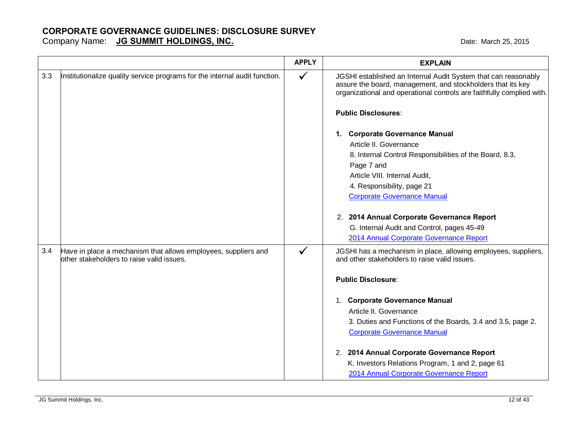|     |                                                                                                             | <b>APPLY</b> | <b>EXPLAIN</b>                                                                                                                                                                                         |
|-----|-------------------------------------------------------------------------------------------------------------|--------------|--------------------------------------------------------------------------------------------------------------------------------------------------------------------------------------------------------|
| 3.3 | Institutionalize quality service programs for the internal audit function.                                  | $\checkmark$ | JGSHI established an Internal Audit System that can reasonably<br>assure the board, management, and stockholders that its key<br>organizational and operational controls are faithfully complied with. |
|     |                                                                                                             |              | <b>Public Disclosures:</b>                                                                                                                                                                             |
|     |                                                                                                             |              | 1. Corporate Governance Manual<br>Article II. Governance                                                                                                                                               |
|     |                                                                                                             |              | 8. Internal Control Responsibilities of the Board, 8.3,                                                                                                                                                |
|     |                                                                                                             |              | Page 7 and                                                                                                                                                                                             |
|     |                                                                                                             |              | Article VIII. Internal Audit,                                                                                                                                                                          |
|     |                                                                                                             |              | 4. Responsibility, page 21                                                                                                                                                                             |
|     |                                                                                                             |              | <b>Corporate Governance Manual</b>                                                                                                                                                                     |
|     |                                                                                                             |              | 2. 2014 Annual Corporate Governance Report                                                                                                                                                             |
|     |                                                                                                             |              | G. Internal Audit and Control, pages 45-49                                                                                                                                                             |
|     |                                                                                                             |              | 2014 Annual Corporate Governance Report                                                                                                                                                                |
| 3.4 | Have in place a mechanism that allows employees, suppliers and<br>other stakeholders to raise valid issues. | $\checkmark$ | JGSHI has a mechanism in place, allowing employees, suppliers,<br>and other stakeholders to raise valid issues.                                                                                        |
|     |                                                                                                             |              | <b>Public Disclosure:</b>                                                                                                                                                                              |
|     |                                                                                                             |              | 1. Corporate Governance Manual                                                                                                                                                                         |
|     |                                                                                                             |              | Article II. Governance                                                                                                                                                                                 |
|     |                                                                                                             |              | 3. Duties and Functions of the Boards, 3.4 and 3.5, page 2.<br><b>Corporate Governance Manual</b>                                                                                                      |
|     |                                                                                                             |              | 2. 2014 Annual Corporate Governance Report                                                                                                                                                             |
|     |                                                                                                             |              | K. Investors Relations Program, 1 and 2, page 61<br>2014 Annual Corporate Governance Report                                                                                                            |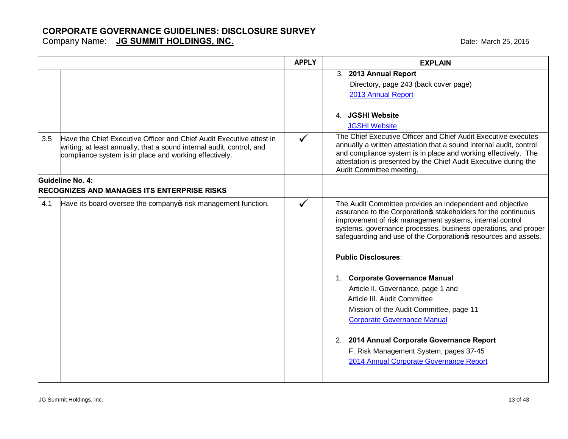|     |                                                                                                                                                                                                         | <b>APPLY</b> | <b>EXPLAIN</b>                                                                                                                                                                                                                                                                                                                                                                                                                                                                                                                                                                                                                                                                          |
|-----|---------------------------------------------------------------------------------------------------------------------------------------------------------------------------------------------------------|--------------|-----------------------------------------------------------------------------------------------------------------------------------------------------------------------------------------------------------------------------------------------------------------------------------------------------------------------------------------------------------------------------------------------------------------------------------------------------------------------------------------------------------------------------------------------------------------------------------------------------------------------------------------------------------------------------------------|
|     |                                                                                                                                                                                                         |              | 3. 2013 Annual Report<br>Directory, page 243 (back cover page)<br>2013 Annual Report<br>4. JGSHI Website<br><b>JGSHI Website</b>                                                                                                                                                                                                                                                                                                                                                                                                                                                                                                                                                        |
| 3.5 | Have the Chief Executive Officer and Chief Audit Executive attest in<br>writing, at least annually, that a sound internal audit, control, and<br>compliance system is in place and working effectively. | $\checkmark$ | The Chief Executive Officer and Chief Audit Executive executes<br>annually a written attestation that a sound internal audit, control<br>and compliance system is in place and working effectively. The<br>attestation is presented by the Chief Audit Executive during the<br>Audit Committee meeting.                                                                                                                                                                                                                                                                                                                                                                                 |
|     | Guideline No. 4:<br>RECOGNIZES AND MANAGES ITS ENTERPRISE RISKS                                                                                                                                         |              |                                                                                                                                                                                                                                                                                                                                                                                                                                                                                                                                                                                                                                                                                         |
| 4.1 | Have its board oversee the company of risk management function.                                                                                                                                         | $\checkmark$ | The Audit Committee provides an independent and objective<br>assurance to the Corporation & stakeholders for the continuous<br>improvement of risk management systems, internal control<br>systems, governance processes, business operations, and proper<br>safeguarding and use of the Corporation of resources and assets.<br><b>Public Disclosures:</b><br>1. Corporate Governance Manual<br>Article II. Governance, page 1 and<br>Article III. Audit Committee<br>Mission of the Audit Committee, page 11<br><b>Corporate Governance Manual</b><br>2. 2014 Annual Corporate Governance Report<br>F. Risk Management System, pages 37-45<br>2014 Annual Corporate Governance Report |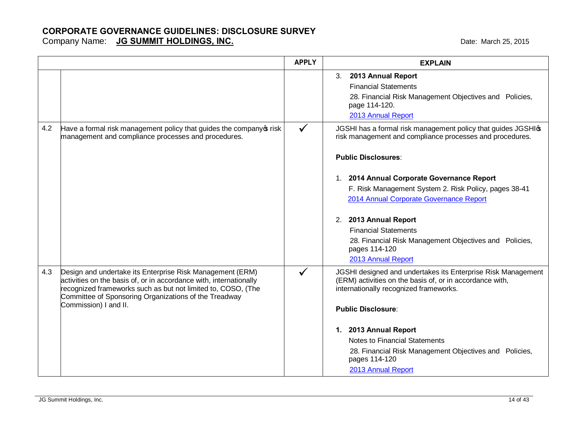|     |                                                                                                                                                                                                                                                                                   | <b>APPLY</b> | <b>EXPLAIN</b>                                                                                                                                                                                                                                                                                                                                             |
|-----|-----------------------------------------------------------------------------------------------------------------------------------------------------------------------------------------------------------------------------------------------------------------------------------|--------------|------------------------------------------------------------------------------------------------------------------------------------------------------------------------------------------------------------------------------------------------------------------------------------------------------------------------------------------------------------|
|     |                                                                                                                                                                                                                                                                                   |              | 3. 2013 Annual Report<br><b>Financial Statements</b><br>28. Financial Risk Management Objectives and Policies,<br>page 114-120.<br>2013 Annual Report                                                                                                                                                                                                      |
| 4.2 | Have a formal risk management policy that guides the company of risk<br>management and compliance processes and procedures.                                                                                                                                                       |              | JGSHI has a formal risk management policy that guides JGSHI \$<br>risk management and compliance processes and procedures.<br><b>Public Disclosures:</b>                                                                                                                                                                                                   |
|     |                                                                                                                                                                                                                                                                                   |              | 1. 2014 Annual Corporate Governance Report<br>F. Risk Management System 2. Risk Policy, pages 38-41<br>2014 Annual Corporate Governance Report<br>2. 2013 Annual Report<br><b>Financial Statements</b><br>28. Financial Risk Management Objectives and Policies,<br>pages 114-120<br>2013 Annual Report                                                    |
| 4.3 | Design and undertake its Enterprise Risk Management (ERM)<br>activities on the basis of, or in accordance with, internationally<br>recognized frameworks such as but not limited to, COSO, (The<br>Committee of Sponsoring Organizations of the Treadway<br>Commission) I and II. | ✓            | JGSHI designed and undertakes its Enterprise Risk Management<br>(ERM) activities on the basis of, or in accordance with,<br>internationally recognized frameworks.<br><b>Public Disclosure:</b><br>1. 2013 Annual Report<br>Notes to Financial Statements<br>28. Financial Risk Management Objectives and Policies,<br>pages 114-120<br>2013 Annual Report |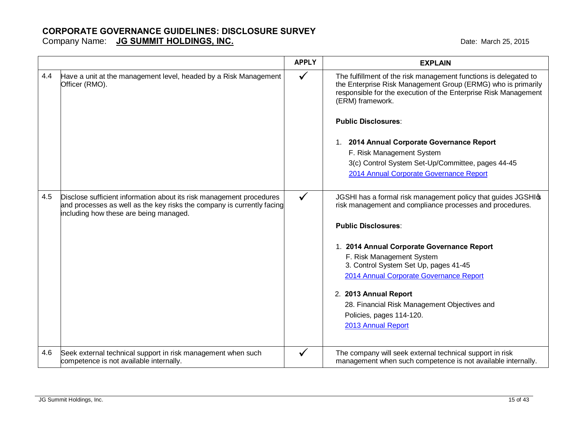|     |                                                                                                                                                                                          | <b>APPLY</b> | <b>EXPLAIN</b>                                                                                                                                                                                                          |
|-----|------------------------------------------------------------------------------------------------------------------------------------------------------------------------------------------|--------------|-------------------------------------------------------------------------------------------------------------------------------------------------------------------------------------------------------------------------|
| 4.4 | Have a unit at the management level, headed by a Risk Management<br>Officer (RMO).                                                                                                       | $\checkmark$ | The fulfillment of the risk management functions is delegated to<br>the Enterprise Risk Management Group (ERMG) who is primarily<br>responsible for the execution of the Enterprise Risk Management<br>(ERM) framework. |
|     |                                                                                                                                                                                          |              | <b>Public Disclosures:</b>                                                                                                                                                                                              |
|     |                                                                                                                                                                                          |              | 1. 2014 Annual Corporate Governance Report                                                                                                                                                                              |
|     |                                                                                                                                                                                          |              | F. Risk Management System                                                                                                                                                                                               |
|     |                                                                                                                                                                                          |              | 3(c) Control System Set-Up/Committee, pages 44-45                                                                                                                                                                       |
|     |                                                                                                                                                                                          |              | 2014 Annual Corporate Governance Report                                                                                                                                                                                 |
| 4.5 | Disclose sufficient information about its risk management procedures<br>and processes as well as the key risks the company is currently facing<br>including how these are being managed. | $\checkmark$ | JGSHI has a formal risk management policy that guides JGSHIG<br>risk management and compliance processes and procedures.                                                                                                |
|     |                                                                                                                                                                                          |              | <b>Public Disclosures:</b>                                                                                                                                                                                              |
|     |                                                                                                                                                                                          |              | 1. 2014 Annual Corporate Governance Report                                                                                                                                                                              |
|     |                                                                                                                                                                                          |              | F. Risk Management System                                                                                                                                                                                               |
|     |                                                                                                                                                                                          |              | 3. Control System Set Up, pages 41-45                                                                                                                                                                                   |
|     |                                                                                                                                                                                          |              | 2014 Annual Corporate Governance Report                                                                                                                                                                                 |
|     |                                                                                                                                                                                          |              | 2. 2013 Annual Report                                                                                                                                                                                                   |
|     |                                                                                                                                                                                          |              | 28. Financial Risk Management Objectives and                                                                                                                                                                            |
|     |                                                                                                                                                                                          |              | Policies, pages 114-120.                                                                                                                                                                                                |
|     |                                                                                                                                                                                          |              | 2013 Annual Report                                                                                                                                                                                                      |
|     |                                                                                                                                                                                          |              |                                                                                                                                                                                                                         |
| 4.6 | Seek external technical support in risk management when such<br>competence is not available internally.                                                                                  | √            | The company will seek external technical support in risk<br>management when such competence is not available internally.                                                                                                |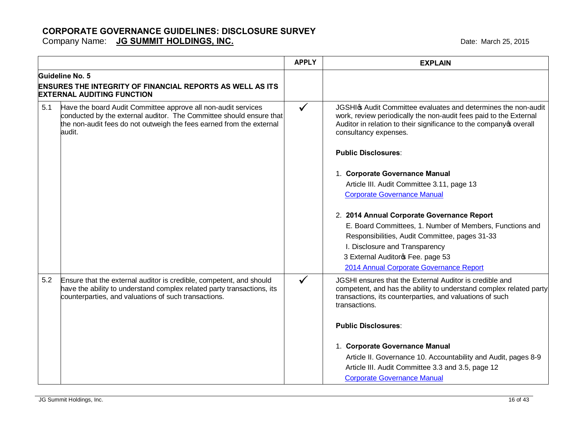|                 |                                                                                                                                                                                                              | <b>APPLY</b> | <b>EXPLAIN</b>                                                                                                                                                                                                                                                             |
|-----------------|--------------------------------------------------------------------------------------------------------------------------------------------------------------------------------------------------------------|--------------|----------------------------------------------------------------------------------------------------------------------------------------------------------------------------------------------------------------------------------------------------------------------------|
| Guideline No. 5 | <b>ENSURES THE INTEGRITY OF FINANCIAL REPORTS AS WELL AS ITS</b><br><b>EXTERNAL AUDITING FUNCTION</b>                                                                                                        |              |                                                                                                                                                                                                                                                                            |
| 5.1<br>audit.   | Have the board Audit Committee approve all non-audit services<br>conducted by the external auditor. The Committee should ensure that<br>the non-audit fees do not outweigh the fees earned from the external | $\checkmark$ | JGSHI & Audit Committee evaluates and determines the non-audit<br>work, review periodically the non-audit fees paid to the External<br>Auditor in relation to their significance to the company overall<br>consultancy expenses.                                           |
|                 |                                                                                                                                                                                                              |              | <b>Public Disclosures:</b>                                                                                                                                                                                                                                                 |
|                 |                                                                                                                                                                                                              |              | 1. Corporate Governance Manual<br>Article III. Audit Committee 3.11, page 13<br><b>Corporate Governance Manual</b>                                                                                                                                                         |
|                 |                                                                                                                                                                                                              |              | 2. 2014 Annual Corporate Governance Report<br>E. Board Committees, 1. Number of Members, Functions and<br>Responsibilities, Audit Committee, pages 31-33<br>I. Disclosure and Transparency<br>3 External Auditoros Fee. page 53<br>2014 Annual Corporate Governance Report |
| 5.2             | Ensure that the external auditor is credible, competent, and should<br>have the ability to understand complex related party transactions, its<br>counterparties, and valuations of such transactions.        | $\checkmark$ | JGSHI ensures that the External Auditor is credible and<br>competent, and has the ability to understand complex related party<br>transactions, its counterparties, and valuations of such<br>transactions.<br><b>Public Disclosures:</b>                                   |
|                 |                                                                                                                                                                                                              |              | 1. Corporate Governance Manual<br>Article II. Governance 10. Accountability and Audit, pages 8-9<br>Article III. Audit Committee 3.3 and 3.5, page 12<br><b>Corporate Governance Manual</b>                                                                                |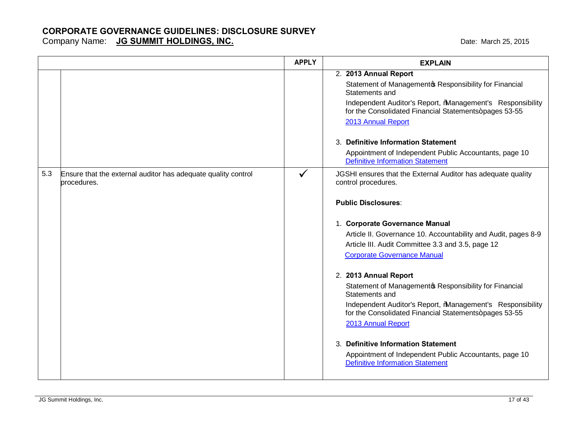Company Name: **JG SUMMIT HOLDINGS, INC. COMPANY COMPANY AND THE MARK COMPANY COMPANY CONTROLLY AND A LOST 2015** 

|     |                                                                              | <b>APPLY</b> | <b>EXPLAIN</b>                                                                                                                                                                                                                                                                                                                                                                                                                                                                                                                                                                                                                                                                                                                                            |
|-----|------------------------------------------------------------------------------|--------------|-----------------------------------------------------------------------------------------------------------------------------------------------------------------------------------------------------------------------------------------------------------------------------------------------------------------------------------------------------------------------------------------------------------------------------------------------------------------------------------------------------------------------------------------------------------------------------------------------------------------------------------------------------------------------------------------------------------------------------------------------------------|
|     |                                                                              |              | 2. 2013 Annual Report<br>Statement of Managementos Responsibility for Financial<br>Statements and<br>Independent Auditor's Report, %Management's Responsibility<br>for the Consolidated Financial Statements+pages 53-55<br>2013 Annual Report<br>3. Definitive Information Statement<br>Appointment of Independent Public Accountants, page 10                                                                                                                                                                                                                                                                                                                                                                                                           |
| 5.3 | Ensure that the external auditor has adequate quality control<br>procedures. | $\checkmark$ | <b>Definitive Information Statement</b><br>JGSHI ensures that the External Auditor has adequate quality<br>control procedures.<br><b>Public Disclosures:</b><br>1. Corporate Governance Manual<br>Article II. Governance 10. Accountability and Audit, pages 8-9<br>Article III. Audit Committee 3.3 and 3.5, page 12<br><b>Corporate Governance Manual</b><br>2. 2013 Annual Report<br>Statement of Managementos Responsibility for Financial<br>Statements and<br>Independent Auditor's Report, %Management's Responsibility<br>for the Consolidated Financial Statements+pages 53-55<br>2013 Annual Report<br>3. Definitive Information Statement<br>Appointment of Independent Public Accountants, page 10<br><b>Definitive Information Statement</b> |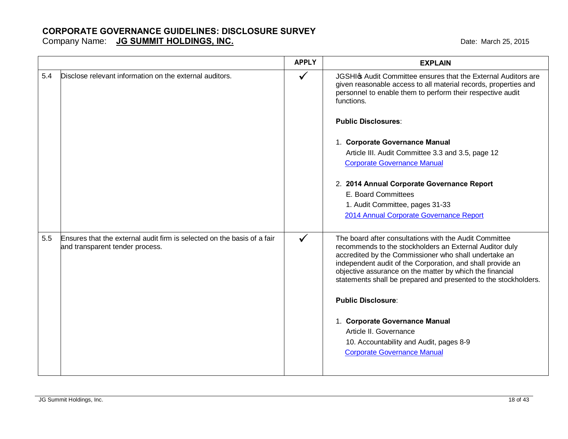|     |                                                                                                            | <b>APPLY</b> | <b>EXPLAIN</b>                                                                                                                                                                                                                                                                                                                                                                                                                                                                                                                                    |
|-----|------------------------------------------------------------------------------------------------------------|--------------|---------------------------------------------------------------------------------------------------------------------------------------------------------------------------------------------------------------------------------------------------------------------------------------------------------------------------------------------------------------------------------------------------------------------------------------------------------------------------------------------------------------------------------------------------|
| 5.4 | Disclose relevant information on the external auditors.                                                    | ✓            | JGSHIG Audit Committee ensures that the External Auditors are<br>given reasonable access to all material records, properties and<br>personnel to enable them to perform their respective audit<br>functions.<br><b>Public Disclosures:</b><br>1. Corporate Governance Manual<br>Article III. Audit Committee 3.3 and 3.5, page 12<br><b>Corporate Governance Manual</b><br>2. 2014 Annual Corporate Governance Report<br>E. Board Committees<br>1. Audit Committee, pages 31-33<br>2014 Annual Corporate Governance Report                        |
| 5.5 | Ensures that the external audit firm is selected on the basis of a fair<br>and transparent tender process. | $\checkmark$ | The board after consultations with the Audit Committee<br>recommends to the stockholders an External Auditor duly<br>accredited by the Commissioner who shall undertake an<br>independent audit of the Corporation, and shall provide an<br>objective assurance on the matter by which the financial<br>statements shall be prepared and presented to the stockholders.<br><b>Public Disclosure:</b><br>1. Corporate Governance Manual<br>Article II. Governance<br>10. Accountability and Audit, pages 8-9<br><b>Corporate Governance Manual</b> |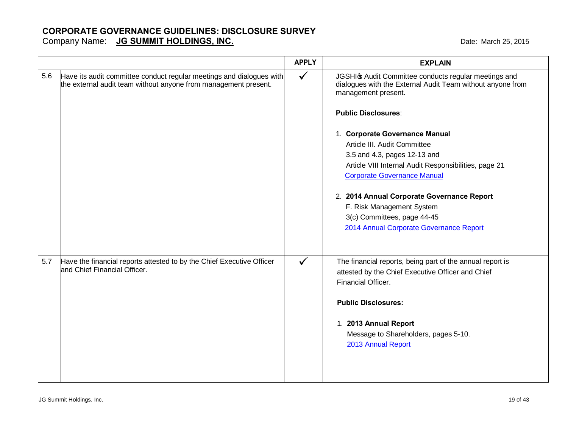Company Name: **JG SUMMIT HOLDINGS, INC. COMPANY COMPANY AND THE MARK COMPANY COMPANY CONTROLLY AND A LOST 2015** 

|                                                                                                                                                | <b>APPLY</b> | <b>EXPLAIN</b>                                                                                                                                                                                                                                                                                                                                                                                                                                                                                                                 |
|------------------------------------------------------------------------------------------------------------------------------------------------|--------------|--------------------------------------------------------------------------------------------------------------------------------------------------------------------------------------------------------------------------------------------------------------------------------------------------------------------------------------------------------------------------------------------------------------------------------------------------------------------------------------------------------------------------------|
| 5.6<br>Have its audit committee conduct regular meetings and dialogues with<br>the external audit team without anyone from management present. | $\checkmark$ | JGSHI & Audit Committee conducts regular meetings and<br>dialogues with the External Audit Team without anyone from<br>management present.<br><b>Public Disclosures:</b><br>1. Corporate Governance Manual<br>Article III. Audit Committee<br>3.5 and 4.3, pages 12-13 and<br>Article VIII Internal Audit Responsibilities, page 21<br><b>Corporate Governance Manual</b><br>2. 2014 Annual Corporate Governance Report<br>F. Risk Management System<br>3(c) Committees, page 44-45<br>2014 Annual Corporate Governance Report |
| 5.7<br>Have the financial reports attested to by the Chief Executive Officer<br>and Chief Financial Officer.                                   |              | The financial reports, being part of the annual report is<br>attested by the Chief Executive Officer and Chief<br>Financial Officer.<br><b>Public Disclosures:</b><br>1. 2013 Annual Report<br>Message to Shareholders, pages 5-10.<br>2013 Annual Report                                                                                                                                                                                                                                                                      |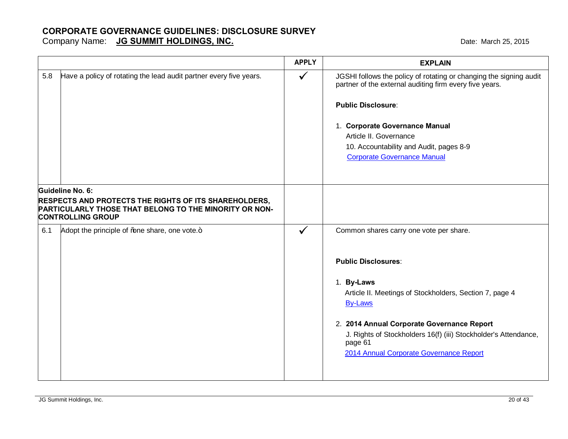|                                                                                                                                                                        |                                                                    | <b>APPLY</b> | <b>EXPLAIN</b>                                                                                                                                                                                                                                                                                          |
|------------------------------------------------------------------------------------------------------------------------------------------------------------------------|--------------------------------------------------------------------|--------------|---------------------------------------------------------------------------------------------------------------------------------------------------------------------------------------------------------------------------------------------------------------------------------------------------------|
| 5.8                                                                                                                                                                    | Have a policy of rotating the lead audit partner every five years. | $\checkmark$ | JGSHI follows the policy of rotating or changing the signing audit<br>partner of the external auditing firm every five years.<br><b>Public Disclosure:</b><br>1. Corporate Governance Manual<br>Article II. Governance<br>10. Accountability and Audit, pages 8-9<br><b>Corporate Governance Manual</b> |
| Guideline No. 6:<br><b>RESPECTS AND PROTECTS THE RIGHTS OF ITS SHAREHOLDERS,</b><br>PARTICULARLY THOSE THAT BELONG TO THE MINORITY OR NON-<br><b>CONTROLLING GROUP</b> |                                                                    |              |                                                                                                                                                                                                                                                                                                         |
| 6.1                                                                                                                                                                    | Adopt the principle of % ne share, one vote.+                      | $\checkmark$ | Common shares carry one vote per share.                                                                                                                                                                                                                                                                 |
|                                                                                                                                                                        |                                                                    |              | <b>Public Disclosures:</b><br>1. By-Laws<br>Article II. Meetings of Stockholders, Section 7, page 4<br><b>By-Laws</b><br>2. 2014 Annual Corporate Governance Report<br>J. Rights of Stockholders 16(f) (iii) Stockholder's Attendance,<br>page 61<br>2014 Annual Corporate Governance Report            |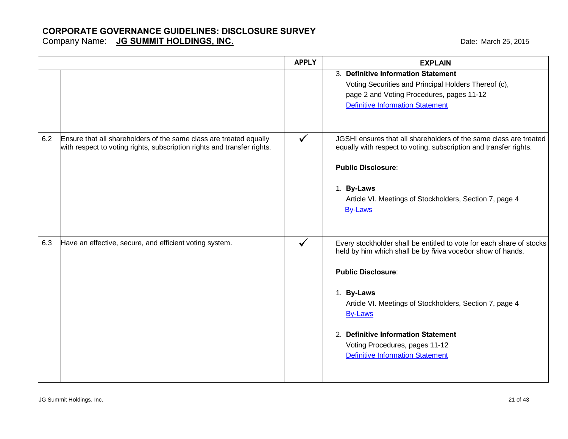|     |                                                                                                                                               | <b>APPLY</b> | <b>EXPLAIN</b>                                                                                                                                                                                                                                                                                                                                                          |
|-----|-----------------------------------------------------------------------------------------------------------------------------------------------|--------------|-------------------------------------------------------------------------------------------------------------------------------------------------------------------------------------------------------------------------------------------------------------------------------------------------------------------------------------------------------------------------|
|     |                                                                                                                                               |              | 3. Definitive Information Statement<br>Voting Securities and Principal Holders Thereof (c),<br>page 2 and Voting Procedures, pages 11-12<br><b>Definitive Information Statement</b>                                                                                                                                                                                     |
| 6.2 | Ensure that all shareholders of the same class are treated equally<br>with respect to voting rights, subscription rights and transfer rights. | $\checkmark$ | JGSHI ensures that all shareholders of the same class are treated<br>equally with respect to voting, subscription and transfer rights.<br><b>Public Disclosure:</b><br>1. By-Laws<br>Article VI. Meetings of Stockholders, Section 7, page 4<br><b>By-Laws</b>                                                                                                          |
| 6.3 | Have an effective, secure, and efficient voting system.                                                                                       | $\checkmark$ | Every stockholder shall be entitled to vote for each share of stocks<br>held by him which shall be by % iva voce+or show of hands.<br><b>Public Disclosure:</b><br>1. By-Laws<br>Article VI. Meetings of Stockholders, Section 7, page 4<br><b>By-Laws</b><br>2. Definitive Information Statement<br>Voting Procedures, pages 11-12<br>Definitive Information Statement |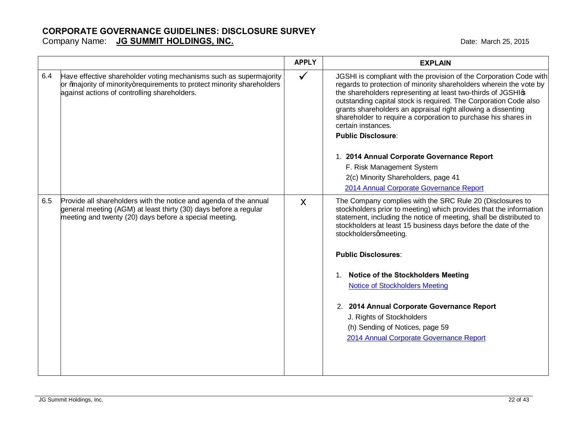#### **CORPORATE GOVERNANCE GUIDELINES: DISCLOSURE SURVEY** Company Name: **JG SUMMIT HOLDINGS, INC. COMPANY AND A COMPANY COMPANY COMPANY CONTROLLY AND A CONTROLLY CONTROLLY CONTROLLY CONTROLLY A CONTROLLY CONTROLLY A CONTROLLY CONTROLLY A CONTROLLY CONTROLLY CONTROLLY CONTROLLY**

|     |                                                                                                                                                                                                 | <b>APPLY</b> | <b>EXPLAIN</b>                                                                                                                                                                                                                                                                                                                                                                                                                                                                                                                                                                      |
|-----|-------------------------------------------------------------------------------------------------------------------------------------------------------------------------------------------------|--------------|-------------------------------------------------------------------------------------------------------------------------------------------------------------------------------------------------------------------------------------------------------------------------------------------------------------------------------------------------------------------------------------------------------------------------------------------------------------------------------------------------------------------------------------------------------------------------------------|
| 6.4 | Have effective shareholder voting mechanisms such as supermajority<br>or ‰ajority of minority+requirements to protect minority shareholders<br>against actions of controlling shareholders.     | $\checkmark$ | JGSHI is compliant with the provision of the Corporation Code with<br>regards to protection of minority shareholders wherein the vote by<br>the shareholders representing at least two-thirds of JGSHIG<br>outstanding capital stock is required. The Corporation Code also<br>grants shareholders an appraisal right allowing a dissenting<br>shareholder to require a corporation to purchase his shares in<br>certain instances.<br><b>Public Disclosure:</b>                                                                                                                    |
|     |                                                                                                                                                                                                 |              | 1. 2014 Annual Corporate Governance Report                                                                                                                                                                                                                                                                                                                                                                                                                                                                                                                                          |
|     |                                                                                                                                                                                                 |              | F. Risk Management System                                                                                                                                                                                                                                                                                                                                                                                                                                                                                                                                                           |
|     |                                                                                                                                                                                                 |              | 2(c) Minority Shareholders, page 41                                                                                                                                                                                                                                                                                                                                                                                                                                                                                                                                                 |
|     |                                                                                                                                                                                                 |              | 2014 Annual Corporate Governance Report                                                                                                                                                                                                                                                                                                                                                                                                                                                                                                                                             |
| 6.5 | Provide all shareholders with the notice and agenda of the annual<br>general meeting (AGM) at least thirty (30) days before a regular<br>meeting and twenty (20) days before a special meeting. | X            | The Company complies with the SRC Rule 20 (Disclosures to<br>stockholders prior to meeting) which provides that the information<br>statement, including the notice of meeting, shall be distributed to<br>stockholders at least 15 business days before the date of the<br>stockholdersqmeeting.<br><b>Public Disclosures:</b><br><b>Notice of the Stockholders Meeting</b><br>1.<br><b>Notice of Stockholders Meeting</b><br>2. 2014 Annual Corporate Governance Report<br>J. Rights of Stockholders<br>(h) Sending of Notices, page 59<br>2014 Annual Corporate Governance Report |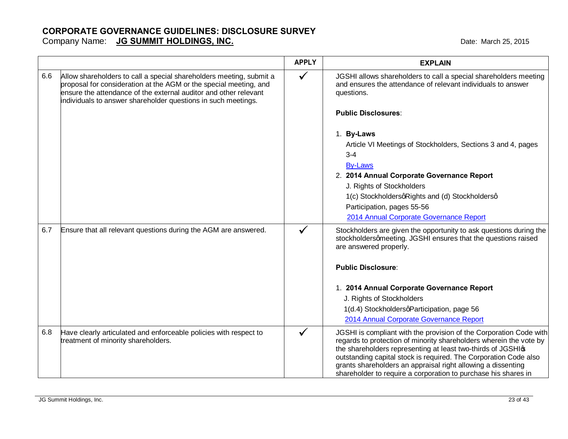#### **CORPORATE GOVERNANCE GUIDELINES: DISCLOSURE SURVEY** Company Name: **JG SUMMIT HOLDINGS, INC. COMPANY AND A COMPANY COMPANY COMPANY CONTROLLY AND A CONTROLLY CONTROLLY CONTROLLY CONTROLLY A CONTROLLY CONTROLLY A CONTROLLY CONTROLLY A CONTROLLY CONTROLLY CONTROLLY CONTROLLY**

|     |                                                                                                                                                                                                                                                                               | <b>APPLY</b> | <b>EXPLAIN</b>                                                                                                                                                                                                                                                                                                                                                                                                |
|-----|-------------------------------------------------------------------------------------------------------------------------------------------------------------------------------------------------------------------------------------------------------------------------------|--------------|---------------------------------------------------------------------------------------------------------------------------------------------------------------------------------------------------------------------------------------------------------------------------------------------------------------------------------------------------------------------------------------------------------------|
| 6.6 | Allow shareholders to call a special shareholders meeting, submit a<br>proposal for consideration at the AGM or the special meeting, and<br>ensure the attendance of the external auditor and other relevant<br>individuals to answer shareholder questions in such meetings. | ✓            | JGSHI allows shareholders to call a special shareholders meeting<br>and ensures the attendance of relevant individuals to answer<br>questions.                                                                                                                                                                                                                                                                |
|     |                                                                                                                                                                                                                                                                               |              | <b>Public Disclosures:</b>                                                                                                                                                                                                                                                                                                                                                                                    |
|     |                                                                                                                                                                                                                                                                               |              | 1. By-Laws                                                                                                                                                                                                                                                                                                                                                                                                    |
|     |                                                                                                                                                                                                                                                                               |              | Article VI Meetings of Stockholders, Sections 3 and 4, pages<br>$3 - 4$                                                                                                                                                                                                                                                                                                                                       |
|     |                                                                                                                                                                                                                                                                               |              | <b>By-Laws</b>                                                                                                                                                                                                                                                                                                                                                                                                |
|     |                                                                                                                                                                                                                                                                               |              | 2. 2014 Annual Corporate Governance Report                                                                                                                                                                                                                                                                                                                                                                    |
|     |                                                                                                                                                                                                                                                                               |              | J. Rights of Stockholders                                                                                                                                                                                                                                                                                                                                                                                     |
|     |                                                                                                                                                                                                                                                                               |              | 1(c) StockholdersqRights and (d) Stockholdersq                                                                                                                                                                                                                                                                                                                                                                |
|     |                                                                                                                                                                                                                                                                               |              | Participation, pages 55-56                                                                                                                                                                                                                                                                                                                                                                                    |
|     |                                                                                                                                                                                                                                                                               |              | 2014 Annual Corporate Governance Report                                                                                                                                                                                                                                                                                                                                                                       |
| 6.7 | Ensure that all relevant questions during the AGM are answered.                                                                                                                                                                                                               |              | Stockholders are given the opportunity to ask questions during the<br>stockholdersqmeeting. JGSHI ensures that the questions raised<br>are answered properly.                                                                                                                                                                                                                                                 |
|     |                                                                                                                                                                                                                                                                               |              | <b>Public Disclosure:</b>                                                                                                                                                                                                                                                                                                                                                                                     |
|     |                                                                                                                                                                                                                                                                               |              | 1. 2014 Annual Corporate Governance Report                                                                                                                                                                                                                                                                                                                                                                    |
|     |                                                                                                                                                                                                                                                                               |              | J. Rights of Stockholders                                                                                                                                                                                                                                                                                                                                                                                     |
|     |                                                                                                                                                                                                                                                                               |              | 1(d.4) StockholdersqParticipation, page 56                                                                                                                                                                                                                                                                                                                                                                    |
|     |                                                                                                                                                                                                                                                                               |              | 2014 Annual Corporate Governance Report                                                                                                                                                                                                                                                                                                                                                                       |
| 6.8 | Have clearly articulated and enforceable policies with respect to<br>treatment of minority shareholders.                                                                                                                                                                      | ✓            | JGSHI is compliant with the provision of the Corporation Code with<br>regards to protection of minority shareholders wherein the vote by<br>the shareholders representing at least two-thirds of JGSHIG<br>outstanding capital stock is required. The Corporation Code also<br>grants shareholders an appraisal right allowing a dissenting<br>shareholder to require a corporation to purchase his shares in |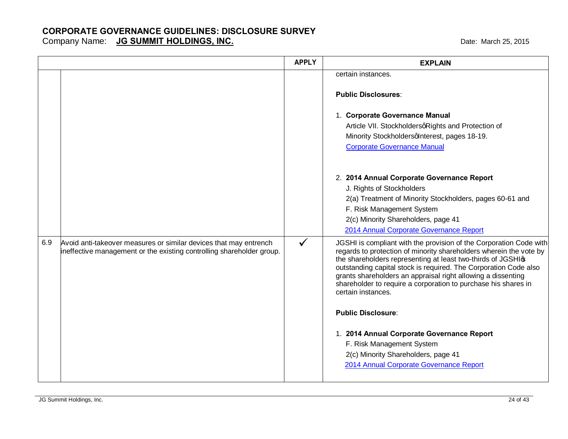|     |                                                                                                                                            | <b>APPLY</b> | <b>EXPLAIN</b>                                                                                                                                                                                                                                                                                                                                                                                                                      |
|-----|--------------------------------------------------------------------------------------------------------------------------------------------|--------------|-------------------------------------------------------------------------------------------------------------------------------------------------------------------------------------------------------------------------------------------------------------------------------------------------------------------------------------------------------------------------------------------------------------------------------------|
|     |                                                                                                                                            |              | certain instances.<br><b>Public Disclosures:</b>                                                                                                                                                                                                                                                                                                                                                                                    |
|     |                                                                                                                                            |              | 1. Corporate Governance Manual<br>Article VII. StockholdersqRights and Protection of<br>Minority Stockholdersqlnterest, pages 18-19.<br><b>Corporate Governance Manual</b>                                                                                                                                                                                                                                                          |
|     |                                                                                                                                            |              | 2. 2014 Annual Corporate Governance Report<br>J. Rights of Stockholders<br>2(a) Treatment of Minority Stockholders, pages 60-61 and<br>F. Risk Management System<br>2(c) Minority Shareholders, page 41<br>2014 Annual Corporate Governance Report                                                                                                                                                                                  |
| 6.9 | Avoid anti-takeover measures or similar devices that may entrench<br>ineffective management or the existing controlling shareholder group. | $\checkmark$ | JGSHI is compliant with the provision of the Corporation Code with<br>regards to protection of minority shareholders wherein the vote by<br>the shareholders representing at least two-thirds of JGSHIG<br>outstanding capital stock is required. The Corporation Code also<br>grants shareholders an appraisal right allowing a dissenting<br>shareholder to require a corporation to purchase his shares in<br>certain instances. |
|     |                                                                                                                                            |              | <b>Public Disclosure:</b><br>1. 2014 Annual Corporate Governance Report<br>F. Risk Management System                                                                                                                                                                                                                                                                                                                                |
|     |                                                                                                                                            |              | 2(c) Minority Shareholders, page 41<br>2014 Annual Corporate Governance Report                                                                                                                                                                                                                                                                                                                                                      |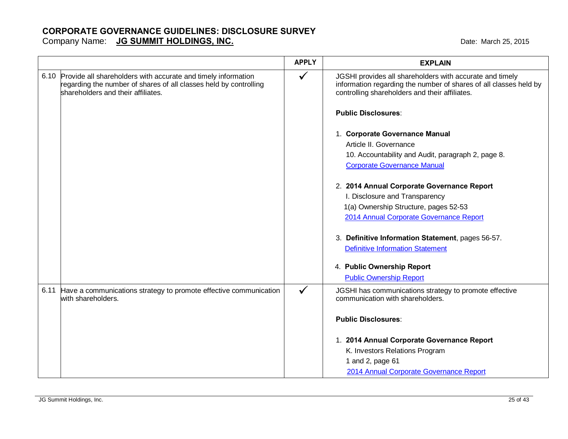Date: March 25, 2015

| <b>JG SUMMIT HOLDINGS, INC.</b><br>Company Name: |
|--------------------------------------------------|
|--------------------------------------------------|

|                                                                                                                                                                               | <b>APPLY</b> | <b>EXPLAIN</b>                                                                                                                                                                  |
|-------------------------------------------------------------------------------------------------------------------------------------------------------------------------------|--------------|---------------------------------------------------------------------------------------------------------------------------------------------------------------------------------|
| 6.10 Provide all shareholders with accurate and timely information<br>regarding the number of shares of all classes held by controlling<br>shareholders and their affiliates. | ✓            | JGSHI provides all shareholders with accurate and timely<br>information regarding the number of shares of all classes held by<br>controlling shareholders and their affiliates. |
|                                                                                                                                                                               |              | <b>Public Disclosures:</b>                                                                                                                                                      |
|                                                                                                                                                                               |              | 1. Corporate Governance Manual                                                                                                                                                  |
|                                                                                                                                                                               |              | Article II. Governance                                                                                                                                                          |
|                                                                                                                                                                               |              | 10. Accountability and Audit, paragraph 2, page 8.                                                                                                                              |
|                                                                                                                                                                               |              | <b>Corporate Governance Manual</b>                                                                                                                                              |
|                                                                                                                                                                               |              | 2. 2014 Annual Corporate Governance Report                                                                                                                                      |
|                                                                                                                                                                               |              | I. Disclosure and Transparency                                                                                                                                                  |
|                                                                                                                                                                               |              | 1(a) Ownership Structure, pages 52-53                                                                                                                                           |
|                                                                                                                                                                               |              | 2014 Annual Corporate Governance Report                                                                                                                                         |
|                                                                                                                                                                               |              | 3. Definitive Information Statement, pages 56-57.                                                                                                                               |
|                                                                                                                                                                               |              | <b>Definitive Information Statement</b>                                                                                                                                         |
|                                                                                                                                                                               |              | 4. Public Ownership Report                                                                                                                                                      |
|                                                                                                                                                                               |              | <b>Public Ownership Report</b>                                                                                                                                                  |
| 6.11 Have a communications strategy to promote effective communication<br>with shareholders.                                                                                  | $\checkmark$ | JGSHI has communications strategy to promote effective<br>communication with shareholders.                                                                                      |
|                                                                                                                                                                               |              | <b>Public Disclosures:</b>                                                                                                                                                      |
|                                                                                                                                                                               |              | 1. 2014 Annual Corporate Governance Report                                                                                                                                      |
|                                                                                                                                                                               |              | K. Investors Relations Program                                                                                                                                                  |
|                                                                                                                                                                               |              | 1 and 2, page 61                                                                                                                                                                |
|                                                                                                                                                                               |              | 2014 Annual Corporate Governance Report                                                                                                                                         |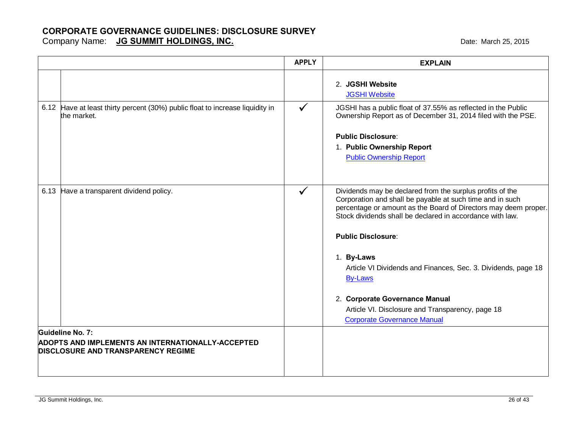|                                                                                                       | <b>APPLY</b> | <b>EXPLAIN</b>                                                                                                                                                                                                                                                                                                                                                                                                                                                                                                   |
|-------------------------------------------------------------------------------------------------------|--------------|------------------------------------------------------------------------------------------------------------------------------------------------------------------------------------------------------------------------------------------------------------------------------------------------------------------------------------------------------------------------------------------------------------------------------------------------------------------------------------------------------------------|
|                                                                                                       |              | 2. JGSHI Website<br><b>JGSHI Website</b>                                                                                                                                                                                                                                                                                                                                                                                                                                                                         |
| 6.12 Have at least thirty percent (30%) public float to increase liquidity in<br>the market.          | $\checkmark$ | JGSHI has a public float of 37.55% as reflected in the Public<br>Ownership Report as of December 31, 2014 filed with the PSE.<br><b>Public Disclosure:</b><br>1. Public Ownership Report<br><b>Public Ownership Report</b>                                                                                                                                                                                                                                                                                       |
| 6.13 Have a transparent dividend policy.<br>Guideline No. 7:                                          | $\checkmark$ | Dividends may be declared from the surplus profits of the<br>Corporation and shall be payable at such time and in such<br>percentage or amount as the Board of Directors may deem proper.<br>Stock dividends shall be declared in accordance with law.<br><b>Public Disclosure:</b><br>1. By-Laws<br>Article VI Dividends and Finances, Sec. 3. Dividends, page 18<br><b>By-Laws</b><br>2. Corporate Governance Manual<br>Article VI. Disclosure and Transparency, page 18<br><b>Corporate Governance Manual</b> |
| <b>ADOPTS AND IMPLEMENTS AN INTERNATIONALLY-ACCEPTED</b><br><b>DISCLOSURE AND TRANSPARENCY REGIME</b> |              |                                                                                                                                                                                                                                                                                                                                                                                                                                                                                                                  |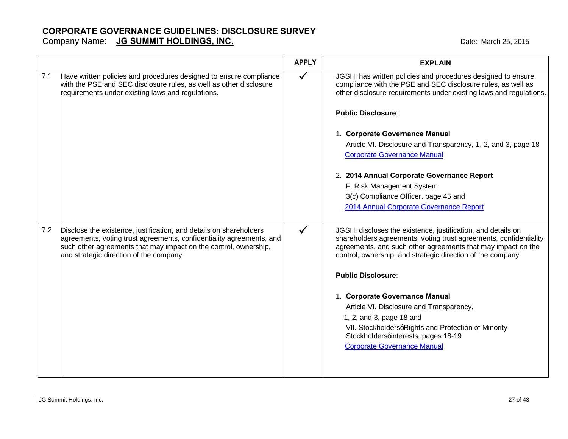#### **CORPORATE GOVERNANCE GUIDELINES: DISCLOSURE SURVEY** Company Name: **JG SUMMIT HOLDINGS, INC. COMPANY AND A COMPANY COMPANY COMPANY CONTROLLY AND A CONTROLLY CONTROLLY CONTROLLY CONTROLLY A CONTROLLY CONTROLLY A CONTROLLY CONTROLLY A CONTROLLY CONTROLLY CONTROLLY CONTROLLY**

|     |                                                                                                                                                                                                                                                           | <b>APPLY</b> | <b>EXPLAIN</b>                                                                                                                                                                                                                                                                                                                                                                                                                                                                                                                              |
|-----|-----------------------------------------------------------------------------------------------------------------------------------------------------------------------------------------------------------------------------------------------------------|--------------|---------------------------------------------------------------------------------------------------------------------------------------------------------------------------------------------------------------------------------------------------------------------------------------------------------------------------------------------------------------------------------------------------------------------------------------------------------------------------------------------------------------------------------------------|
| 7.1 | Have written policies and procedures designed to ensure compliance<br>with the PSE and SEC disclosure rules, as well as other disclosure<br>requirements under existing laws and regulations.                                                             | $\checkmark$ | JGSHI has written policies and procedures designed to ensure<br>compliance with the PSE and SEC disclosure rules, as well as<br>other disclosure requirements under existing laws and regulations.<br><b>Public Disclosure:</b><br>1. Corporate Governance Manual<br>Article VI. Disclosure and Transparency, 1, 2, and 3, page 18<br><b>Corporate Governance Manual</b>                                                                                                                                                                    |
|     |                                                                                                                                                                                                                                                           |              | 2. 2014 Annual Corporate Governance Report<br>F. Risk Management System<br>3(c) Compliance Officer, page 45 and<br>2014 Annual Corporate Governance Report                                                                                                                                                                                                                                                                                                                                                                                  |
| 7.2 | Disclose the existence, justification, and details on shareholders<br>agreements, voting trust agreements, confidentiality agreements, and<br>such other agreements that may impact on the control, ownership,<br>and strategic direction of the company. | ✓            | JGSHI discloses the existence, justification, and details on<br>shareholders agreements, voting trust agreements, confidentiality<br>agreements, and such other agreements that may impact on the<br>control, ownership, and strategic direction of the company.<br><b>Public Disclosure:</b><br>1. Corporate Governance Manual<br>Article VI. Disclosure and Transparency,<br>1, 2, and 3, page 18 and<br>VII. StockholdersqRights and Protection of Minority<br>Stockholdersqinterests, pages 18-19<br><b>Corporate Governance Manual</b> |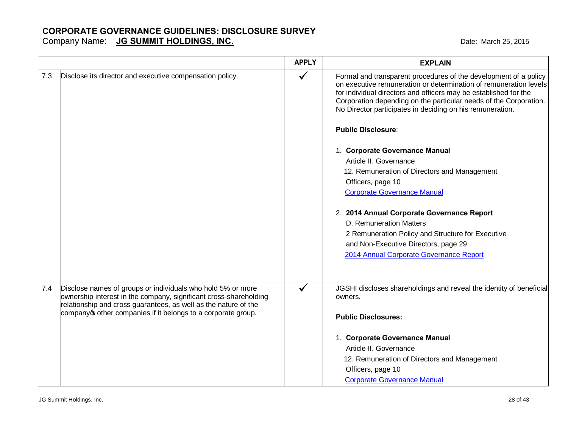|     |                                                                                                                                                                                                                                                                    | <b>APPLY</b> | <b>EXPLAIN</b>                                                                                                                                                                                                                                                                                                                                                                                                                                                                                                                                                                                                                                                                                                                                                   |
|-----|--------------------------------------------------------------------------------------------------------------------------------------------------------------------------------------------------------------------------------------------------------------------|--------------|------------------------------------------------------------------------------------------------------------------------------------------------------------------------------------------------------------------------------------------------------------------------------------------------------------------------------------------------------------------------------------------------------------------------------------------------------------------------------------------------------------------------------------------------------------------------------------------------------------------------------------------------------------------------------------------------------------------------------------------------------------------|
| 7.3 | Disclose its director and executive compensation policy.                                                                                                                                                                                                           | ✓            | Formal and transparent procedures of the development of a policy<br>on executive remuneration or determination of remuneration levels<br>for individual directors and officers may be established for the<br>Corporation depending on the particular needs of the Corporation.<br>No Director participates in deciding on his remuneration.<br><b>Public Disclosure:</b><br>1. Corporate Governance Manual<br>Article II. Governance<br>12. Remuneration of Directors and Management<br>Officers, page 10<br><b>Corporate Governance Manual</b><br>2. 2014 Annual Corporate Governance Report<br>D. Remuneration Matters<br>2 Remuneration Policy and Structure for Executive<br>and Non-Executive Directors, page 29<br>2014 Annual Corporate Governance Report |
| 7.4 | Disclose names of groups or individuals who hold 5% or more<br>ownership interest in the company, significant cross-shareholding<br>relationship and cross guarantees, as well as the nature of the<br>company other companies if it belongs to a corporate group. | ✓            | JGSHI discloses shareholdings and reveal the identity of beneficial<br>owners.<br><b>Public Disclosures:</b><br>1. Corporate Governance Manual<br>Article II. Governance<br>12. Remuneration of Directors and Management<br>Officers, page 10<br><b>Corporate Governance Manual</b>                                                                                                                                                                                                                                                                                                                                                                                                                                                                              |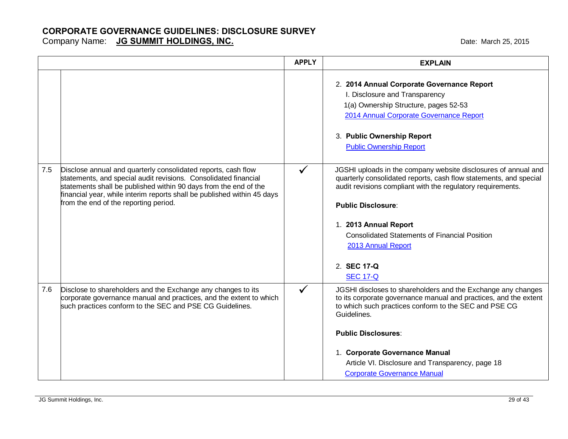|     |                                                                                                                                                                                                                                                                                                                          | <b>APPLY</b> | <b>EXPLAIN</b>                                                                                                                                                                                                                                                                                                                                                           |
|-----|--------------------------------------------------------------------------------------------------------------------------------------------------------------------------------------------------------------------------------------------------------------------------------------------------------------------------|--------------|--------------------------------------------------------------------------------------------------------------------------------------------------------------------------------------------------------------------------------------------------------------------------------------------------------------------------------------------------------------------------|
|     |                                                                                                                                                                                                                                                                                                                          |              | 2. 2014 Annual Corporate Governance Report<br>I. Disclosure and Transparency<br>1(a) Ownership Structure, pages 52-53<br>2014 Annual Corporate Governance Report<br>3. Public Ownership Report<br><b>Public Ownership Report</b>                                                                                                                                         |
| 7.5 | Disclose annual and quarterly consolidated reports, cash flow<br>statements, and special audit revisions. Consolidated financial<br>statements shall be published within 90 days from the end of the<br>financial year, while interim reports shall be published within 45 days<br>from the end of the reporting period. | $\checkmark$ | JGSHI uploads in the company website disclosures of annual and<br>quarterly consolidated reports, cash flow statements, and special<br>audit revisions compliant with the regulatory requirements.<br><b>Public Disclosure:</b><br>1. 2013 Annual Report<br><b>Consolidated Statements of Financial Position</b><br>2013 Annual Report<br>2. SEC 17-Q<br><b>SEC 17-Q</b> |
| 7.6 | Disclose to shareholders and the Exchange any changes to its<br>corporate governance manual and practices, and the extent to which<br>such practices conform to the SEC and PSE CG Guidelines.                                                                                                                           | $\checkmark$ | JGSHI discloses to shareholders and the Exchange any changes<br>to its corporate governance manual and practices, and the extent<br>to which such practices conform to the SEC and PSE CG<br>Guidelines.<br><b>Public Disclosures:</b><br>1. Corporate Governance Manual<br>Article VI. Disclosure and Transparency, page 18<br><b>Corporate Governance Manual</b>       |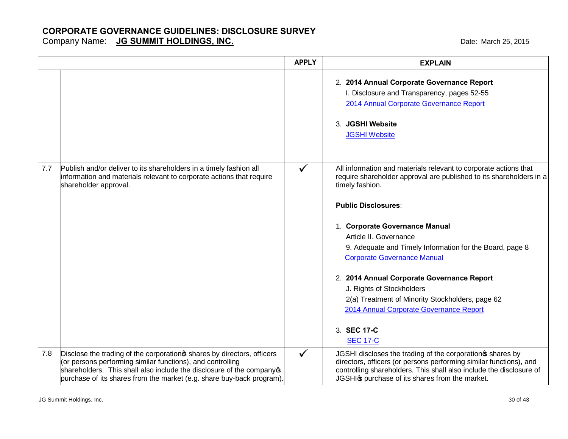|     |                                                                                                                                                                                                                                                                                         | <b>APPLY</b> | <b>EXPLAIN</b>                                                                                                                                                                                                                                                                                                                                                                                                                                                                                                                                                     |
|-----|-----------------------------------------------------------------------------------------------------------------------------------------------------------------------------------------------------------------------------------------------------------------------------------------|--------------|--------------------------------------------------------------------------------------------------------------------------------------------------------------------------------------------------------------------------------------------------------------------------------------------------------------------------------------------------------------------------------------------------------------------------------------------------------------------------------------------------------------------------------------------------------------------|
|     |                                                                                                                                                                                                                                                                                         |              | 2. 2014 Annual Corporate Governance Report<br>I. Disclosure and Transparency, pages 52-55<br>2014 Annual Corporate Governance Report<br>3. JGSHI Website<br><b>JGSHI Website</b>                                                                                                                                                                                                                                                                                                                                                                                   |
| 7.7 | Publish and/or deliver to its shareholders in a timely fashion all<br>information and materials relevant to corporate actions that require<br>shareholder approval.                                                                                                                     | ✓            | All information and materials relevant to corporate actions that<br>require shareholder approval are published to its shareholders in a<br>timely fashion.<br><b>Public Disclosures:</b><br>1. Corporate Governance Manual<br>Article II. Governance<br>9. Adequate and Timely Information for the Board, page 8<br><b>Corporate Governance Manual</b><br>2. 2014 Annual Corporate Governance Report<br>J. Rights of Stockholders<br>2(a) Treatment of Minority Stockholders, page 62<br>2014 Annual Corporate Governance Report<br>3. SEC 17-C<br><b>SEC 17-C</b> |
| 7.8 | Disclose the trading of the corporation w shares by directors, officers<br>(or persons performing similar functions), and controlling<br>shareholders. This shall also include the disclosure of the companyos<br>purchase of its shares from the market (e.g. share buy-back program). | $\checkmark$ | JGSHI discloses the trading of the corporation shares by<br>directors, officers (or persons performing similar functions), and<br>controlling shareholders. This shall also include the disclosure of<br>JGSHIG purchase of its shares from the market.                                                                                                                                                                                                                                                                                                            |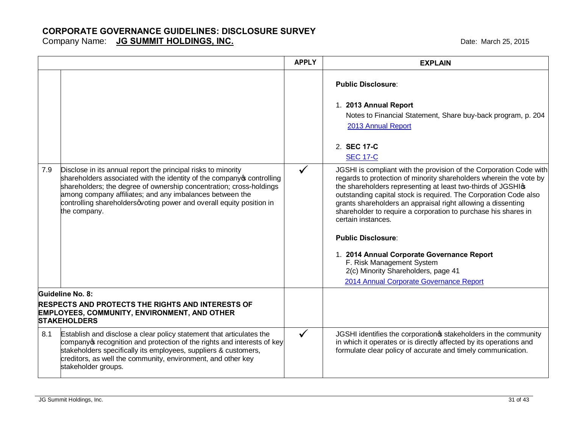|     |                                                                                                                                                                                                                                                                                                                                                                  | <b>APPLY</b> | <b>EXPLAIN</b>                                                                                                                                                                                                                                                                                                                                                                                                                                                                                                                                                                                                                                                                                                                                                                                              |
|-----|------------------------------------------------------------------------------------------------------------------------------------------------------------------------------------------------------------------------------------------------------------------------------------------------------------------------------------------------------------------|--------------|-------------------------------------------------------------------------------------------------------------------------------------------------------------------------------------------------------------------------------------------------------------------------------------------------------------------------------------------------------------------------------------------------------------------------------------------------------------------------------------------------------------------------------------------------------------------------------------------------------------------------------------------------------------------------------------------------------------------------------------------------------------------------------------------------------------|
| 7.9 | Disclose in its annual report the principal risks to minority<br>shareholders associated with the identity of the company ocntrolling<br>shareholders; the degree of ownership concentration; cross-holdings<br>among company affiliates; and any imbalances between the<br>controlling shareholdersqvoting power and overall equity position in<br>the company. | $\checkmark$ | <b>Public Disclosure:</b><br>1. 2013 Annual Report<br>Notes to Financial Statement, Share buy-back program, p. 204<br>2013 Annual Report<br>2. SEC 17-C<br><b>SEC 17-C</b><br>JGSHI is compliant with the provision of the Corporation Code with<br>regards to protection of minority shareholders wherein the vote by<br>the shareholders representing at least two-thirds of JGSHIG<br>outstanding capital stock is required. The Corporation Code also<br>grants shareholders an appraisal right allowing a dissenting<br>shareholder to require a corporation to purchase his shares in<br>certain instances.<br><b>Public Disclosure:</b><br>1. 2014 Annual Corporate Governance Report<br>F. Risk Management System<br>2(c) Minority Shareholders, page 41<br>2014 Annual Corporate Governance Report |
|     | <b>Guideline No. 8:</b>                                                                                                                                                                                                                                                                                                                                          |              |                                                                                                                                                                                                                                                                                                                                                                                                                                                                                                                                                                                                                                                                                                                                                                                                             |
|     | <b>RESPECTS AND PROTECTS THE RIGHTS AND INTERESTS OF</b><br><b>EMPLOYEES, COMMUNITY, ENVIRONMENT, AND OTHER</b><br><b>STAKEHOLDERS</b>                                                                                                                                                                                                                           |              |                                                                                                                                                                                                                                                                                                                                                                                                                                                                                                                                                                                                                                                                                                                                                                                                             |
| 8.1 | Establish and disclose a clear policy statement that articulates the<br>company of recognition and protection of the rights and interests of key<br>stakeholders specifically its employees, suppliers & customers,<br>creditors, as well the community, environment, and other key<br>stakeholder groups.                                                       | $\checkmark$ | JGSHI identifies the corporation of stakeholders in the community<br>in which it operates or is directly affected by its operations and<br>formulate clear policy of accurate and timely communication.                                                                                                                                                                                                                                                                                                                                                                                                                                                                                                                                                                                                     |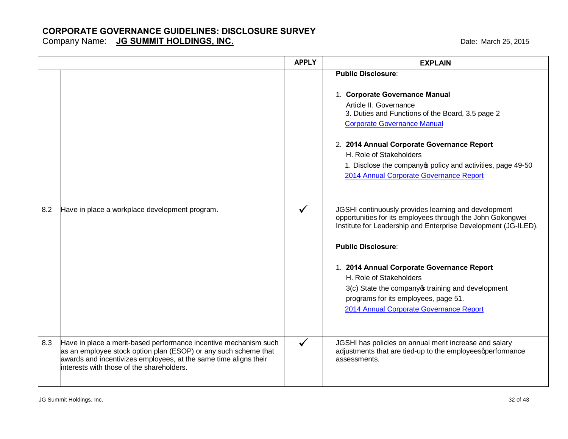|     |                                                                                                                                                                                                                                                      | <b>APPLY</b> | <b>EXPLAIN</b>                                                                                                                                                                                                 |
|-----|------------------------------------------------------------------------------------------------------------------------------------------------------------------------------------------------------------------------------------------------------|--------------|----------------------------------------------------------------------------------------------------------------------------------------------------------------------------------------------------------------|
|     |                                                                                                                                                                                                                                                      |              | <b>Public Disclosure:</b>                                                                                                                                                                                      |
|     |                                                                                                                                                                                                                                                      |              | 1. Corporate Governance Manual<br>Article II. Governance<br>3. Duties and Functions of the Board, 3.5 page 2<br><b>Corporate Governance Manual</b>                                                             |
|     |                                                                                                                                                                                                                                                      |              | 2. 2014 Annual Corporate Governance Report<br>H. Role of Stakeholders<br>1. Disclose the company opolicy and activities, page 49-50<br>2014 Annual Corporate Governance Report                                 |
| 8.2 | Have in place a workplace development program.                                                                                                                                                                                                       | $\checkmark$ | JGSHI continuously provides learning and development<br>opportunities for its employees through the John Gokongwei<br>Institute for Leadership and Enterprise Development (JG-ILED).                           |
|     |                                                                                                                                                                                                                                                      |              | <b>Public Disclosure:</b>                                                                                                                                                                                      |
|     |                                                                                                                                                                                                                                                      |              | 1. 2014 Annual Corporate Governance Report<br>H. Role of Stakeholders<br>3(c) State the company of training and development<br>programs for its employees, page 51.<br>2014 Annual Corporate Governance Report |
| 8.3 | Have in place a merit-based performance incentive mechanism such<br>as an employee stock option plan (ESOP) or any such scheme that<br>awards and incentivizes employees, at the same time aligns their<br>interests with those of the shareholders. | $\checkmark$ | JGSHI has policies on annual merit increase and salary<br>adjustments that are tied-up to the employeesqperformance<br>assessments.                                                                            |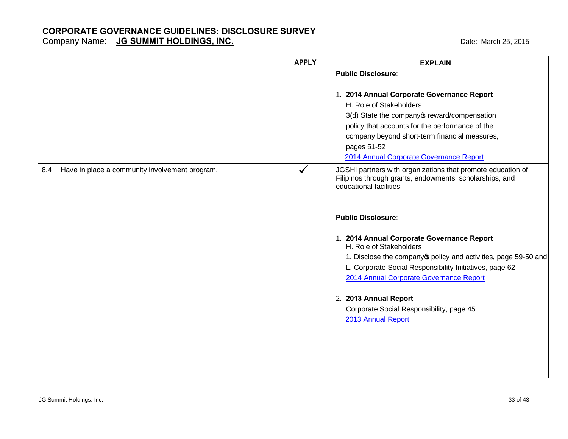|     |                                                | <b>APPLY</b> | <b>EXPLAIN</b>                                                                                                                                                                                         |
|-----|------------------------------------------------|--------------|--------------------------------------------------------------------------------------------------------------------------------------------------------------------------------------------------------|
|     |                                                |              | <b>Public Disclosure:</b><br>1. 2014 Annual Corporate Governance Report<br>H. Role of Stakeholders<br>3(d) State the company of reward/compensation<br>policy that accounts for the performance of the |
|     |                                                |              | company beyond short-term financial measures,<br>pages 51-52<br>2014 Annual Corporate Governance Report                                                                                                |
| 8.4 | Have in place a community involvement program. | ✔            | JGSHI partners with organizations that promote education of<br>Filipinos through grants, endowments, scholarships, and<br>educational facilities.                                                      |
|     |                                                |              | <b>Public Disclosure:</b>                                                                                                                                                                              |
|     |                                                |              | 1. 2014 Annual Corporate Governance Report<br>H. Role of Stakeholders                                                                                                                                  |
|     |                                                |              | 1. Disclose the company policy and activities, page 59-50 and<br>L. Corporate Social Responsibility Initiatives, page 62<br>2014 Annual Corporate Governance Report                                    |
|     |                                                |              | 2. 2013 Annual Report<br>Corporate Social Responsibility, page 45<br>2013 Annual Report                                                                                                                |
|     |                                                |              |                                                                                                                                                                                                        |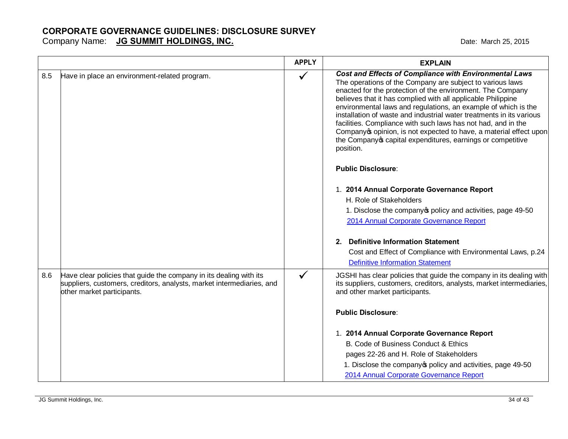|     |                                                                                                                                                                           | <b>APPLY</b> | <b>EXPLAIN</b>                                                                                                                                                                                                                                                                                                                                                                                                                                                                                                                                                                                                                                                                                                                                                                                                                                                                                                                                                 |
|-----|---------------------------------------------------------------------------------------------------------------------------------------------------------------------------|--------------|----------------------------------------------------------------------------------------------------------------------------------------------------------------------------------------------------------------------------------------------------------------------------------------------------------------------------------------------------------------------------------------------------------------------------------------------------------------------------------------------------------------------------------------------------------------------------------------------------------------------------------------------------------------------------------------------------------------------------------------------------------------------------------------------------------------------------------------------------------------------------------------------------------------------------------------------------------------|
| 8.5 | Have in place an environment-related program.                                                                                                                             | ✓            | <b>Cost and Effects of Compliance with Environmental Laws</b><br>The operations of the Company are subject to various laws<br>enacted for the protection of the environment. The Company<br>believes that it has complied with all applicable Philippine<br>environmental laws and regulations, an example of which is the<br>installation of waste and industrial water treatments in its various<br>facilities. Compliance with such laws has not had, and in the<br>Company opinion, is not expected to have, a material effect upon<br>the Company of capital expenditures, earnings or competitive<br>position.<br><b>Public Disclosure:</b><br>1. 2014 Annual Corporate Governance Report<br>H. Role of Stakeholders<br>1. Disclose the company policy and activities, page 49-50<br>2014 Annual Corporate Governance Report<br><b>Definitive Information Statement</b><br>2 <sub>1</sub><br>Cost and Effect of Compliance with Environmental Laws, p.24 |
|     |                                                                                                                                                                           |              | <b>Definitive Information Statement</b>                                                                                                                                                                                                                                                                                                                                                                                                                                                                                                                                                                                                                                                                                                                                                                                                                                                                                                                        |
| 8.6 | Have clear policies that guide the company in its dealing with its<br>suppliers, customers, creditors, analysts, market intermediaries, and<br>other market participants. | ✓            | JGSHI has clear policies that guide the company in its dealing with<br>its suppliers, customers, creditors, analysts, market intermediaries,<br>and other market participants.                                                                                                                                                                                                                                                                                                                                                                                                                                                                                                                                                                                                                                                                                                                                                                                 |
|     |                                                                                                                                                                           |              | <b>Public Disclosure:</b>                                                                                                                                                                                                                                                                                                                                                                                                                                                                                                                                                                                                                                                                                                                                                                                                                                                                                                                                      |
|     |                                                                                                                                                                           |              | 1. 2014 Annual Corporate Governance Report                                                                                                                                                                                                                                                                                                                                                                                                                                                                                                                                                                                                                                                                                                                                                                                                                                                                                                                     |
|     |                                                                                                                                                                           |              | B. Code of Business Conduct & Ethics                                                                                                                                                                                                                                                                                                                                                                                                                                                                                                                                                                                                                                                                                                                                                                                                                                                                                                                           |
|     |                                                                                                                                                                           |              | pages 22-26 and H. Role of Stakeholders                                                                                                                                                                                                                                                                                                                                                                                                                                                                                                                                                                                                                                                                                                                                                                                                                                                                                                                        |
|     |                                                                                                                                                                           |              | 1. Disclose the company opolicy and activities, page 49-50<br>2014 Annual Corporate Governance Report                                                                                                                                                                                                                                                                                                                                                                                                                                                                                                                                                                                                                                                                                                                                                                                                                                                          |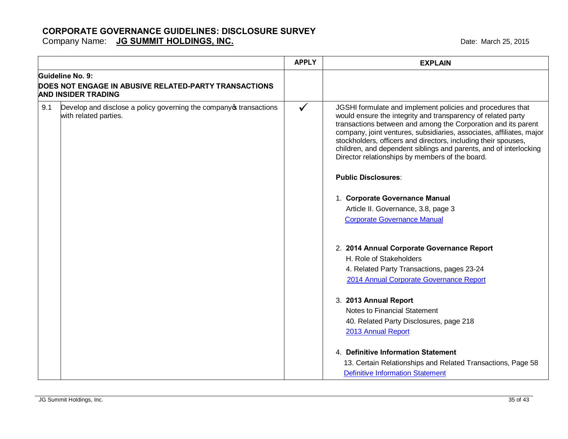|     |                                                                                              | <b>APPLY</b> | <b>EXPLAIN</b>                                                                                                                                                                                                                                                                                                                                                                                                                                                |
|-----|----------------------------------------------------------------------------------------------|--------------|---------------------------------------------------------------------------------------------------------------------------------------------------------------------------------------------------------------------------------------------------------------------------------------------------------------------------------------------------------------------------------------------------------------------------------------------------------------|
|     | Guideline No. 9:<br><b>DOES NOT ENGAGE IN ABUSIVE RELATED-PARTY TRANSACTIONS</b>             |              |                                                                                                                                                                                                                                                                                                                                                                                                                                                               |
|     | <b>AND INSIDER TRADING</b>                                                                   |              |                                                                                                                                                                                                                                                                                                                                                                                                                                                               |
| 9.1 | Develop and disclose a policy governing the company of transactions<br>with related parties. | $\checkmark$ | JGSHI formulate and implement policies and procedures that<br>would ensure the integrity and transparency of related party<br>transactions between and among the Corporation and its parent<br>company, joint ventures, subsidiaries, associates, affiliates, major<br>stockholders, officers and directors, including their spouses,<br>children, and dependent siblings and parents, and of interlocking<br>Director relationships by members of the board. |
|     |                                                                                              |              | <b>Public Disclosures:</b>                                                                                                                                                                                                                                                                                                                                                                                                                                    |
|     |                                                                                              |              | 1. Corporate Governance Manual                                                                                                                                                                                                                                                                                                                                                                                                                                |
|     |                                                                                              |              | Article II. Governance, 3.8, page 3                                                                                                                                                                                                                                                                                                                                                                                                                           |
|     |                                                                                              |              | <b>Corporate Governance Manual</b>                                                                                                                                                                                                                                                                                                                                                                                                                            |
|     |                                                                                              |              | 2. 2014 Annual Corporate Governance Report                                                                                                                                                                                                                                                                                                                                                                                                                    |
|     |                                                                                              |              | H. Role of Stakeholders                                                                                                                                                                                                                                                                                                                                                                                                                                       |
|     |                                                                                              |              | 4. Related Party Transactions, pages 23-24                                                                                                                                                                                                                                                                                                                                                                                                                    |
|     |                                                                                              |              | 2014 Annual Corporate Governance Report                                                                                                                                                                                                                                                                                                                                                                                                                       |
|     |                                                                                              |              | 3. 2013 Annual Report                                                                                                                                                                                                                                                                                                                                                                                                                                         |
|     |                                                                                              |              | Notes to Financial Statement                                                                                                                                                                                                                                                                                                                                                                                                                                  |
|     |                                                                                              |              | 40. Related Party Disclosures, page 218                                                                                                                                                                                                                                                                                                                                                                                                                       |
|     |                                                                                              |              | 2013 Annual Report                                                                                                                                                                                                                                                                                                                                                                                                                                            |
|     |                                                                                              |              | 4. Definitive Information Statement                                                                                                                                                                                                                                                                                                                                                                                                                           |
|     |                                                                                              |              | 13. Certain Relationships and Related Transactions, Page 58                                                                                                                                                                                                                                                                                                                                                                                                   |
|     |                                                                                              |              | <b>Definitive Information Statement</b>                                                                                                                                                                                                                                                                                                                                                                                                                       |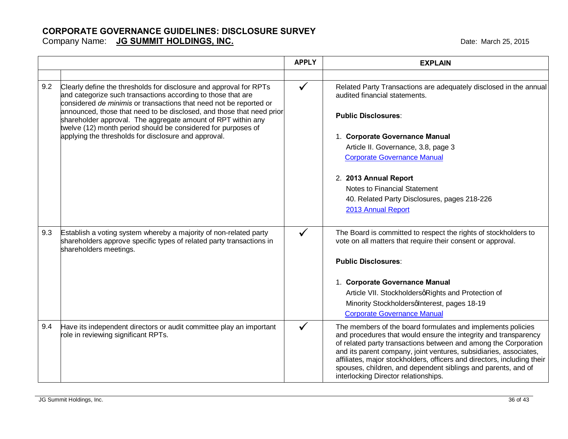#### **CORPORATE GOVERNANCE GUIDELINES: DISCLOSURE SURVEY** Company Name: **JG SUMMIT HOLDINGS, INC. COMPANY AND A COMPANY COMPANY COMPANY CONTROLLY AND A CONTROLLY CONTROLLY CONTROLLY CONTROLLY A CONTROLLY CONTROLLY A CONTROLLY CONTROLLY A CONTROLLY CONTROLLY CONTROLLY CONTROLLY**

|     |                                                                                                                                                                                                                                                                                   | <b>APPLY</b> | <b>EXPLAIN</b>                                                                                                                                                                                                                                                                                                                                                                                                     |
|-----|-----------------------------------------------------------------------------------------------------------------------------------------------------------------------------------------------------------------------------------------------------------------------------------|--------------|--------------------------------------------------------------------------------------------------------------------------------------------------------------------------------------------------------------------------------------------------------------------------------------------------------------------------------------------------------------------------------------------------------------------|
|     |                                                                                                                                                                                                                                                                                   |              |                                                                                                                                                                                                                                                                                                                                                                                                                    |
| 9.2 | Clearly define the thresholds for disclosure and approval for RPTs<br>and categorize such transactions according to those that are<br>considered de minimis or transactions that need not be reported or<br>announced, those that need to be disclosed, and those that need prior | $\checkmark$ | Related Party Transactions are adequately disclosed in the annual<br>audited financial statements.                                                                                                                                                                                                                                                                                                                 |
|     | shareholder approval. The aggregate amount of RPT within any<br>twelve (12) month period should be considered for purposes of                                                                                                                                                     |              | <b>Public Disclosures:</b>                                                                                                                                                                                                                                                                                                                                                                                         |
|     | applying the thresholds for disclosure and approval.                                                                                                                                                                                                                              |              | 1. Corporate Governance Manual                                                                                                                                                                                                                                                                                                                                                                                     |
|     |                                                                                                                                                                                                                                                                                   |              | Article II. Governance, 3.8, page 3                                                                                                                                                                                                                                                                                                                                                                                |
|     |                                                                                                                                                                                                                                                                                   |              | <b>Corporate Governance Manual</b>                                                                                                                                                                                                                                                                                                                                                                                 |
|     |                                                                                                                                                                                                                                                                                   |              | 2. 2013 Annual Report                                                                                                                                                                                                                                                                                                                                                                                              |
|     |                                                                                                                                                                                                                                                                                   |              | Notes to Financial Statement                                                                                                                                                                                                                                                                                                                                                                                       |
|     |                                                                                                                                                                                                                                                                                   |              | 40. Related Party Disclosures, pages 218-226                                                                                                                                                                                                                                                                                                                                                                       |
|     |                                                                                                                                                                                                                                                                                   |              | 2013 Annual Report                                                                                                                                                                                                                                                                                                                                                                                                 |
| 9.3 | Establish a voting system whereby a majority of non-related party<br>shareholders approve specific types of related party transactions in<br>shareholders meetings.                                                                                                               | ✓            | The Board is committed to respect the rights of stockholders to<br>vote on all matters that require their consent or approval.                                                                                                                                                                                                                                                                                     |
|     |                                                                                                                                                                                                                                                                                   |              | <b>Public Disclosures:</b>                                                                                                                                                                                                                                                                                                                                                                                         |
|     |                                                                                                                                                                                                                                                                                   |              | 1. Corporate Governance Manual                                                                                                                                                                                                                                                                                                                                                                                     |
|     |                                                                                                                                                                                                                                                                                   |              | Article VII. StockholdersqRights and Protection of                                                                                                                                                                                                                                                                                                                                                                 |
|     |                                                                                                                                                                                                                                                                                   |              | Minority StockholdersqInterest, pages 18-19                                                                                                                                                                                                                                                                                                                                                                        |
|     |                                                                                                                                                                                                                                                                                   |              | <b>Corporate Governance Manual</b>                                                                                                                                                                                                                                                                                                                                                                                 |
| 9.4 | Have its independent directors or audit committee play an important<br>role in reviewing significant RPTs.                                                                                                                                                                        | $\checkmark$ | The members of the board formulates and implements policies<br>and procedures that would ensure the integrity and transparency<br>of related party transactions between and among the Corporation<br>and its parent company, joint ventures, subsidiaries, associates,<br>affiliates, major stockholders, officers and directors, including their<br>spouses, children, and dependent siblings and parents, and of |
|     |                                                                                                                                                                                                                                                                                   |              | interlocking Director relationships.                                                                                                                                                                                                                                                                                                                                                                               |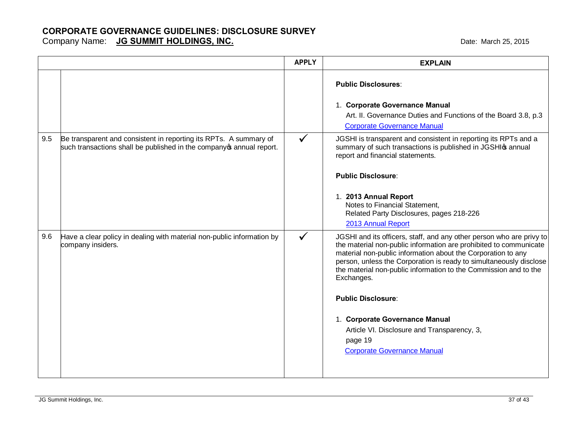|     |                                                                                                                                            | <b>APPLY</b> | <b>EXPLAIN</b>                                                                                                                                                                                                                                                                                                                                                                                                                                                                                                                   |
|-----|--------------------------------------------------------------------------------------------------------------------------------------------|--------------|----------------------------------------------------------------------------------------------------------------------------------------------------------------------------------------------------------------------------------------------------------------------------------------------------------------------------------------------------------------------------------------------------------------------------------------------------------------------------------------------------------------------------------|
|     |                                                                                                                                            |              | <b>Public Disclosures:</b><br>1. Corporate Governance Manual<br>Art. II. Governance Duties and Functions of the Board 3.8, p.3<br><b>Corporate Governance Manual</b>                                                                                                                                                                                                                                                                                                                                                             |
| 9.5 | Be transparent and consistent in reporting its RPTs. A summary of<br>such transactions shall be published in the company of annual report. | $\checkmark$ | JGSHI is transparent and consistent in reporting its RPTs and a<br>summary of such transactions is published in JGSHI manual<br>report and financial statements.<br><b>Public Disclosure:</b><br>1. 2013 Annual Report<br>Notes to Financial Statement,<br>Related Party Disclosures, pages 218-226<br>2013 Annual Report                                                                                                                                                                                                        |
| 9.6 | Have a clear policy in dealing with material non-public information by<br>company insiders.                                                | $\checkmark$ | JGSHI and its officers, staff, and any other person who are privy to<br>the material non-public information are prohibited to communicate<br>material non-public information about the Corporation to any<br>person, unless the Corporation is ready to simultaneously disclose<br>the material non-public information to the Commission and to the<br>Exchanges.<br><b>Public Disclosure:</b><br>1. Corporate Governance Manual<br>Article VI. Disclosure and Transparency, 3,<br>page 19<br><b>Corporate Governance Manual</b> |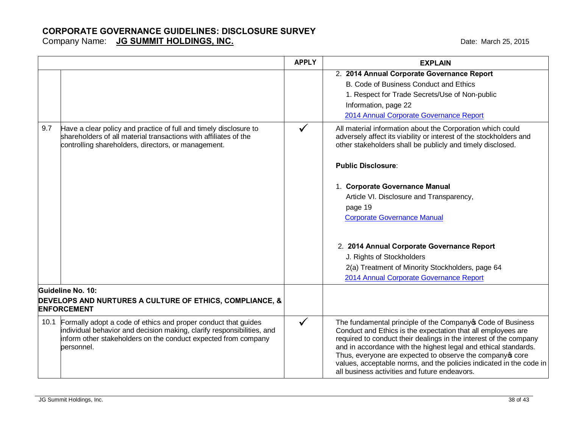|      |                                                                                                                                                                                                                          | <b>APPLY</b> | <b>EXPLAIN</b>                                                                                                                                                                                                                                                                                                                                                                                                                                           |
|------|--------------------------------------------------------------------------------------------------------------------------------------------------------------------------------------------------------------------------|--------------|----------------------------------------------------------------------------------------------------------------------------------------------------------------------------------------------------------------------------------------------------------------------------------------------------------------------------------------------------------------------------------------------------------------------------------------------------------|
|      |                                                                                                                                                                                                                          |              | 2. 2014 Annual Corporate Governance Report                                                                                                                                                                                                                                                                                                                                                                                                               |
|      |                                                                                                                                                                                                                          |              | B. Code of Business Conduct and Ethics                                                                                                                                                                                                                                                                                                                                                                                                                   |
|      |                                                                                                                                                                                                                          |              | 1. Respect for Trade Secrets/Use of Non-public                                                                                                                                                                                                                                                                                                                                                                                                           |
|      |                                                                                                                                                                                                                          |              | Information, page 22                                                                                                                                                                                                                                                                                                                                                                                                                                     |
|      |                                                                                                                                                                                                                          |              | 2014 Annual Corporate Governance Report                                                                                                                                                                                                                                                                                                                                                                                                                  |
| 9.7  | Have a clear policy and practice of full and timely disclosure to<br>shareholders of all material transactions with affiliates of the<br>controlling shareholders, directors, or management.                             | $\checkmark$ | All material information about the Corporation which could<br>adversely affect its viability or interest of the stockholders and<br>other stakeholders shall be publicly and timely disclosed.                                                                                                                                                                                                                                                           |
|      |                                                                                                                                                                                                                          |              | <b>Public Disclosure:</b>                                                                                                                                                                                                                                                                                                                                                                                                                                |
|      |                                                                                                                                                                                                                          |              | 1. Corporate Governance Manual                                                                                                                                                                                                                                                                                                                                                                                                                           |
|      |                                                                                                                                                                                                                          |              | Article VI. Disclosure and Transparency,                                                                                                                                                                                                                                                                                                                                                                                                                 |
|      |                                                                                                                                                                                                                          |              | page 19                                                                                                                                                                                                                                                                                                                                                                                                                                                  |
|      |                                                                                                                                                                                                                          |              | <b>Corporate Governance Manual</b>                                                                                                                                                                                                                                                                                                                                                                                                                       |
|      |                                                                                                                                                                                                                          |              | 2. 2014 Annual Corporate Governance Report<br>J. Rights of Stockholders                                                                                                                                                                                                                                                                                                                                                                                  |
|      |                                                                                                                                                                                                                          |              | 2(a) Treatment of Minority Stockholders, page 64<br>2014 Annual Corporate Governance Report                                                                                                                                                                                                                                                                                                                                                              |
|      | Guideline No. 10:                                                                                                                                                                                                        |              |                                                                                                                                                                                                                                                                                                                                                                                                                                                          |
|      | DEVELOPS AND NURTURES A CULTURE OF ETHICS, COMPLIANCE, &<br><b>ENFORCEMENT</b>                                                                                                                                           |              |                                                                                                                                                                                                                                                                                                                                                                                                                                                          |
| 10.1 | Formally adopt a code of ethics and proper conduct that guides<br>individual behavior and decision making, clarify responsibilities, and<br>inform other stakeholders on the conduct expected from company<br>personnel. | $\checkmark$ | The fundamental principle of the Company of Code of Business<br>Conduct and Ethics is the expectation that all employees are<br>required to conduct their dealings in the interest of the company<br>and in accordance with the highest legal and ethical standards.<br>Thus, everyone are expected to observe the company ocore<br>values, acceptable norms, and the policies indicated in the code in<br>all business activities and future endeavors. |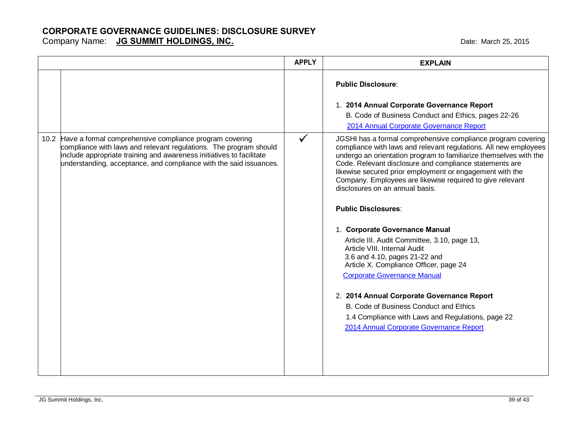|                                                                                                                                                                                                                                                                                 | <b>APPLY</b> | <b>EXPLAIN</b>                                                                                                                                                                                                                                                                                                                                                                                                                                                                                                                                                                                                                                                                                                                                                                                                                                                                        |
|---------------------------------------------------------------------------------------------------------------------------------------------------------------------------------------------------------------------------------------------------------------------------------|--------------|---------------------------------------------------------------------------------------------------------------------------------------------------------------------------------------------------------------------------------------------------------------------------------------------------------------------------------------------------------------------------------------------------------------------------------------------------------------------------------------------------------------------------------------------------------------------------------------------------------------------------------------------------------------------------------------------------------------------------------------------------------------------------------------------------------------------------------------------------------------------------------------|
|                                                                                                                                                                                                                                                                                 |              | <b>Public Disclosure:</b>                                                                                                                                                                                                                                                                                                                                                                                                                                                                                                                                                                                                                                                                                                                                                                                                                                                             |
|                                                                                                                                                                                                                                                                                 |              | 1. 2014 Annual Corporate Governance Report                                                                                                                                                                                                                                                                                                                                                                                                                                                                                                                                                                                                                                                                                                                                                                                                                                            |
|                                                                                                                                                                                                                                                                                 |              | B. Code of Business Conduct and Ethics, pages 22-26                                                                                                                                                                                                                                                                                                                                                                                                                                                                                                                                                                                                                                                                                                                                                                                                                                   |
|                                                                                                                                                                                                                                                                                 |              | 2014 Annual Corporate Governance Report                                                                                                                                                                                                                                                                                                                                                                                                                                                                                                                                                                                                                                                                                                                                                                                                                                               |
| 10.2 Have a formal comprehensive compliance program covering<br>compliance with laws and relevant regulations. The program should<br>include appropriate training and awareness initiatives to facilitate<br>understanding, acceptance, and compliance with the said issuances. | $\checkmark$ | JGSHI has a formal comprehensive compliance program covering<br>compliance with laws and relevant regulations. All new employees<br>undergo an orientation program to familiarize themselves with the<br>Code. Relevant disclosure and compliance statements are<br>likewise secured prior employment or engagement with the<br>Company. Employees are likewise required to give relevant<br>disclosures on an annual basis.<br><b>Public Disclosures:</b><br>1. Corporate Governance Manual<br>Article III. Audit Committee, 3.10, page 13,<br>Article VIII. Internal Audit<br>3.6 and 4.10, pages 21-22 and<br>Article X. Compliance Officer, page 24<br><b>Corporate Governance Manual</b><br>2. 2014 Annual Corporate Governance Report<br>B. Code of Business Conduct and Ethics<br>1.4 Compliance with Laws and Regulations, page 22<br>2014 Annual Corporate Governance Report |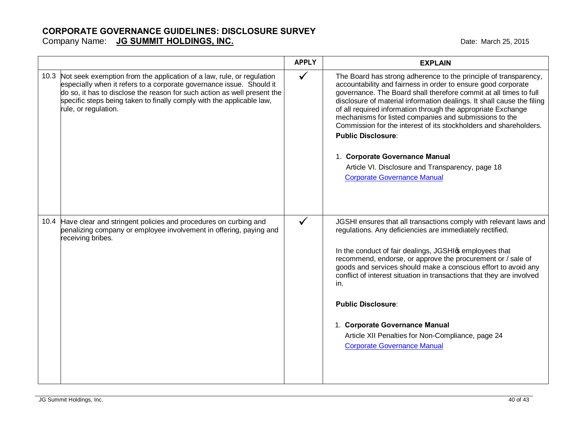#### **CORPORATE GOVERNANCE GUIDELINES: DISCLOSURE SURVEY** Company Name: **JG SUMMIT HOLDINGS, INC. COMPANY AND A COMPANY COMPANY COMPANY CONTROLLY AND A CONTROLLY CONTROLLY CONTROLLY CONTROLLY A CONTROLLY CONTROLLY A CONTROLLY CONTROLLY A CONTROLLY CONTROLLY CONTROLLY CONTROLLY**

|                                                                                                                                                                                                                                                                                                                                 | <b>APPLY</b> | <b>EXPLAIN</b>                                                                                                                                                                                                                                                                                                                                                                                                                                                                                                                                                                                                                           |
|---------------------------------------------------------------------------------------------------------------------------------------------------------------------------------------------------------------------------------------------------------------------------------------------------------------------------------|--------------|------------------------------------------------------------------------------------------------------------------------------------------------------------------------------------------------------------------------------------------------------------------------------------------------------------------------------------------------------------------------------------------------------------------------------------------------------------------------------------------------------------------------------------------------------------------------------------------------------------------------------------------|
| 10.3 Not seek exemption from the application of a law, rule, or regulation<br>especially when it refers to a corporate governance issue. Should it<br>do so, it has to disclose the reason for such action as well present the<br>specific steps being taken to finally comply with the applicable law,<br>rule, or regulation. | $\checkmark$ | The Board has strong adherence to the principle of transparency,<br>accountability and fairness in order to ensure good corporate<br>governance. The Board shall therefore commit at all times to full<br>disclosure of material information dealings. It shall cause the filing<br>of all required information through the appropriate Exchange<br>mechanisms for listed companies and submissions to the<br>Commission for the interest of its stockholders and shareholders.<br><b>Public Disclosure:</b><br>1. Corporate Governance Manual<br>Article VI. Disclosure and Transparency, page 18<br><b>Corporate Governance Manual</b> |
| 10.4 Have clear and stringent policies and procedures on curbing and<br>penalizing company or employee involvement in offering, paying and<br>receiving bribes.                                                                                                                                                                 | $\checkmark$ | JGSHI ensures that all transactions comply with relevant laws and<br>regulations. Any deficiencies are immediately rectified.<br>In the conduct of fair dealings, JGSHIG employees that<br>recommend, endorse, or approve the procurement or / sale of<br>goods and services should make a conscious effort to avoid any<br>conflict of interest situation in transactions that they are involved<br>in.<br><b>Public Disclosure:</b><br>1. Corporate Governance Manual<br>Article XII Penalties for Non-Compliance, page 24<br><b>Corporate Governance Manual</b>                                                                       |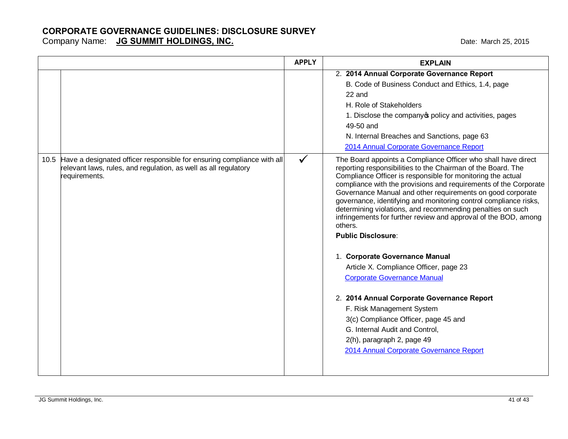|      |                                                                                                                                                            | <b>APPLY</b> | <b>EXPLAIN</b>                                                                                                                                                                                                                                                                                                                                                                                                                                                                                                                                                                                                                                                                                                                                                                                                                                                                                                              |
|------|------------------------------------------------------------------------------------------------------------------------------------------------------------|--------------|-----------------------------------------------------------------------------------------------------------------------------------------------------------------------------------------------------------------------------------------------------------------------------------------------------------------------------------------------------------------------------------------------------------------------------------------------------------------------------------------------------------------------------------------------------------------------------------------------------------------------------------------------------------------------------------------------------------------------------------------------------------------------------------------------------------------------------------------------------------------------------------------------------------------------------|
|      |                                                                                                                                                            |              | 2. 2014 Annual Corporate Governance Report<br>B. Code of Business Conduct and Ethics, 1.4, page<br>22 and<br>H. Role of Stakeholders<br>1. Disclose the company opolicy and activities, pages<br>49-50 and<br>N. Internal Breaches and Sanctions, page 63<br>2014 Annual Corporate Governance Report                                                                                                                                                                                                                                                                                                                                                                                                                                                                                                                                                                                                                        |
| 10.5 | Have a designated officer responsible for ensuring compliance with all<br>relevant laws, rules, and regulation, as well as all regulatory<br>requirements. | $\checkmark$ | The Board appoints a Compliance Officer who shall have direct<br>reporting responsibilities to the Chairman of the Board. The<br>Compliance Officer is responsible for monitoring the actual<br>compliance with the provisions and requirements of the Corporate<br>Governance Manual and other requirements on good corporate<br>governance, identifying and monitoring control compliance risks,<br>determining violations, and recommending penalties on such<br>infringements for further review and approval of the BOD, among<br>others.<br><b>Public Disclosure:</b><br>1. Corporate Governance Manual<br>Article X. Compliance Officer, page 23<br><b>Corporate Governance Manual</b><br>2. 2014 Annual Corporate Governance Report<br>F. Risk Management System<br>3(c) Compliance Officer, page 45 and<br>G. Internal Audit and Control,<br>2(h), paragraph 2, page 49<br>2014 Annual Corporate Governance Report |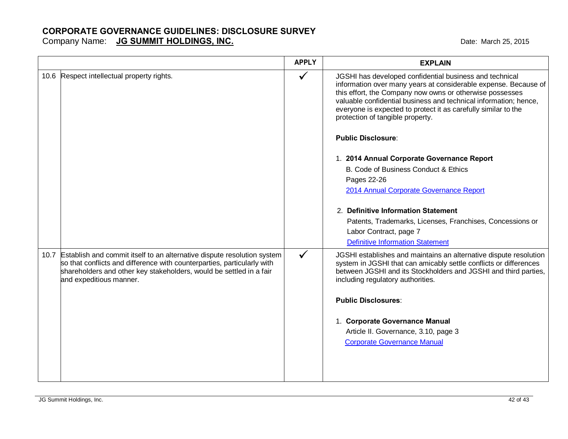Company Name: **JG SUMMIT HOLDINGS, INC. COMPANY COMPANY AND THE MARK COMPANY COMPANY CONTROLLY AND A LOST 2015** 

|                                                                                                                                                                                                                                                           | <b>APPLY</b> | <b>EXPLAIN</b>                                                                                                                                                                                                                                                                                                                                                   |
|-----------------------------------------------------------------------------------------------------------------------------------------------------------------------------------------------------------------------------------------------------------|--------------|------------------------------------------------------------------------------------------------------------------------------------------------------------------------------------------------------------------------------------------------------------------------------------------------------------------------------------------------------------------|
| 10.6 Respect intellectual property rights.                                                                                                                                                                                                                | $\checkmark$ | JGSHI has developed confidential business and technical<br>information over many years at considerable expense. Because of<br>this effort, the Company now owns or otherwise possesses<br>valuable confidential business and technical information; hence,<br>everyone is expected to protect it as carefully similar to the<br>protection of tangible property. |
|                                                                                                                                                                                                                                                           |              | <b>Public Disclosure:</b>                                                                                                                                                                                                                                                                                                                                        |
|                                                                                                                                                                                                                                                           |              | 1. 2014 Annual Corporate Governance Report<br>B. Code of Business Conduct & Ethics<br>Pages 22-26<br>2014 Annual Corporate Governance Report                                                                                                                                                                                                                     |
|                                                                                                                                                                                                                                                           |              | 2. Definitive Information Statement<br>Patents, Trademarks, Licenses, Franchises, Concessions or<br>Labor Contract, page 7<br><b>Definitive Information Statement</b>                                                                                                                                                                                            |
| 10.7 Establish and commit itself to an alternative dispute resolution system<br>so that conflicts and difference with counterparties, particularly with<br>shareholders and other key stakeholders, would be settled in a fair<br>and expeditious manner. | $\checkmark$ | JGSHI establishes and maintains an alternative dispute resolution<br>system in JGSHI that can amicably settle conflicts or differences<br>between JGSHI and its Stockholders and JGSHI and third parties,<br>including regulatory authorities.<br><b>Public Disclosures:</b>                                                                                     |
|                                                                                                                                                                                                                                                           |              | 1. Corporate Governance Manual<br>Article II. Governance, 3.10, page 3<br><b>Corporate Governance Manual</b>                                                                                                                                                                                                                                                     |